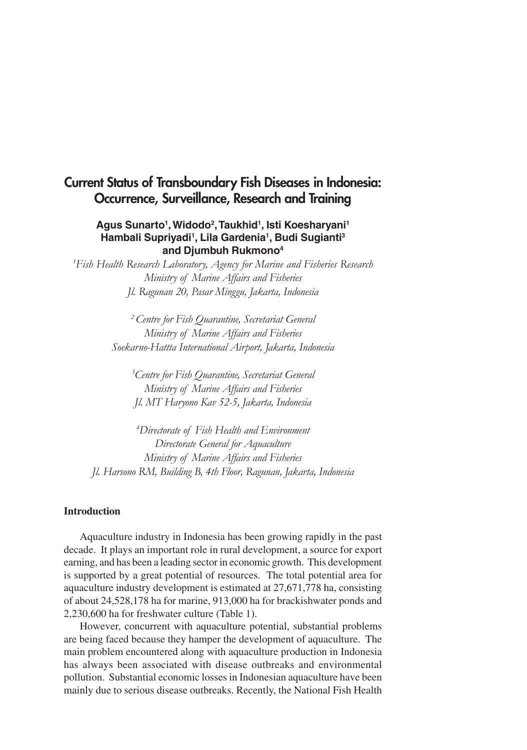# **Current Status of Transboundary Fish Diseases in Indonesia: Occurrence, Surveillance, Research and Training**

## **Agus Sunarto1 , Widodo2 , Taukhid1 , Isti Koesharyani1 Hambali Supriyadi1 , Lila Gardenia1 , Budi Sugianti3 and Djumbuh Rukmono4**

*1 Fish Health Research Laboratory, Agency for Marine and Fisheries Research Ministry of Marine Affairs and Fisheries Jl. Ragunan 20, Pasar Minggu, Jakarta, Indonesia*

> *2 Centre for Fish Quarantine, Secretariat General Ministry of Marine Affairs and Fisheries Soekarno-Hattta International Airport, Jakarta, Indonesia*

*3 Centre for Fish Quarantine, Secretariat General Ministry of Marine Affairs and Fisheries Jl. MT Haryono Kav 52-5, Jakarta, Indonesia*

*4 Directorate of Fish Health and Environment Directorate General for Aquaculture Ministry of Marine Affairs and Fisheries Jl. Harsono RM, Building B, 4th Floor, Ragunan, Jakarta, Indonesia*

#### **Introduction**

Aquaculture industry in Indonesia has been growing rapidly in the past decade. It plays an important role in rural development, a source for export earning, and has been a leading sector in economic growth. This development is supported by a great potential of resources. The total potential area for aquaculture industry development is estimated at 27,671,778 ha, consisting of about 24,528,178 ha for marine, 913,000 ha for brackishwater ponds and 2,230,600 ha for freshwater culture (Table 1).

However, concurrent with aquaculture potential, substantial problems are being faced because they hamper the development of aquaculture. The main problem encountered along with aquaculture production in Indonesia has always been associated with disease outbreaks and environmental pollution. Substantial economic losses in Indonesian aquaculture have been mainly due to serious disease outbreaks. Recently, the National Fish Health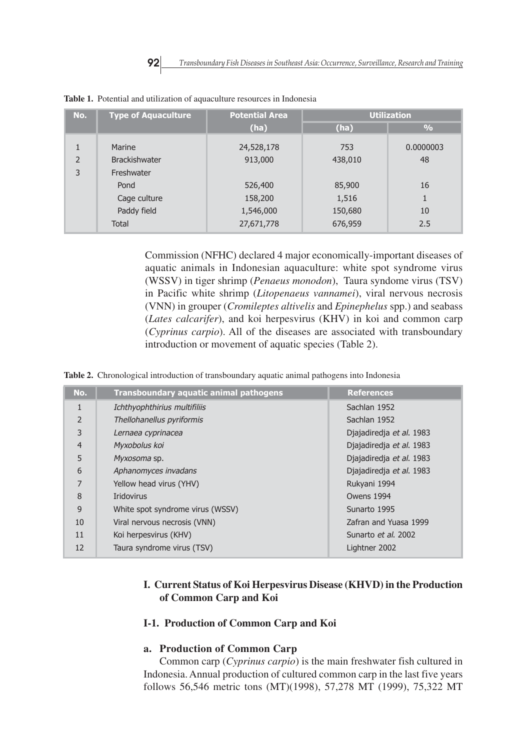| No.                      | <b>Type of Aquaculture</b> | <b>Potential Area</b> | <b>Utilization</b> |               |
|--------------------------|----------------------------|-----------------------|--------------------|---------------|
|                          |                            | (ha)                  | (ha)               | $\frac{0}{0}$ |
| 1                        | Marine                     | 24,528,178            | 753                | 0.0000003     |
| $\overline{\phantom{a}}$ | <b>Brackishwater</b>       | 913,000               | 438,010            | 48            |
| 3                        | Freshwater                 |                       |                    |               |
|                          | Pond                       | 526,400               | 85,900             | 16            |
|                          | Cage culture               | 158,200               | 1,516              |               |
|                          | Paddy field                | 1,546,000             | 150,680            | 10            |
|                          | <b>Total</b>               | 27,671,778            | 676,959            | 2.5           |

**Table 1.** Potential and utilization of aquaculture resources in Indonesia

Commission (NFHC) declared 4 major economically-important diseases of aquatic animals in Indonesian aquaculture: white spot syndrome virus (WSSV) in tiger shrimp (*Penaeus monodon*), Taura syndome virus (TSV) in Pacific white shrimp (*Litopenaeus vannamei*), viral nervous necrosis (VNN) in grouper (*Cromileptes altivelis* and *Epinephelus* spp.) and seabass (*Lates calcarifer*), and koi herpesvirus (KHV) in koi and common carp (*Cyprinus carpio*). All of the diseases are associated with transboundary introduction or movement of aquatic species (Table 2).

**Table 2.** Chronological introduction of transboundary aquatic animal pathogens into Indonesia

| No.            | <b>Transboundary aquatic animal pathogens</b> | <b>References</b>        |
|----------------|-----------------------------------------------|--------------------------|
| $\mathbf{1}$   | Ichthyophthirius multifiliis                  | Sachlan 1952             |
| $\mathcal{P}$  | Thellohanellus pyriformis                     | Sachlan 1952             |
| 3              | Lernaea cyprinacea                            | Djajadiredja et al. 1983 |
| $\overline{4}$ | Myxobolus koi                                 | Djajadiredja et al. 1983 |
| 5              | Myxosoma sp.                                  | Djajadiredja et al. 1983 |
| 6              | Aphanomyces invadans                          | Djajadiredja et al. 1983 |
| 7              | Yellow head virus (YHV)                       | Rukyani 1994             |
| 8              | <b>Iridovirus</b>                             | Owens 1994               |
| 9              | White spot syndrome virus (WSSV)              | Sunarto 1995             |
| 10             | Viral nervous necrosis (VNN)                  | Zafran and Yuasa 1999    |
| 11             | Koi herpesvirus (KHV)                         | Sunarto et al. 2002      |
| 12             | Taura syndrome virus (TSV)                    | Lightner 2002            |

## **I. Current Status of Koi Herpesvirus Disease (KHVD) in the Production of Common Carp and Koi**

## **I-1. Production of Common Carp and Koi**

#### **a. Production of Common Carp**

Common carp (*Cyprinus carpio*) is the main freshwater fish cultured in Indonesia. Annual production of cultured common carp in the last five years follows 56,546 metric tons (MT)(1998), 57,278 MT (1999), 75,322 MT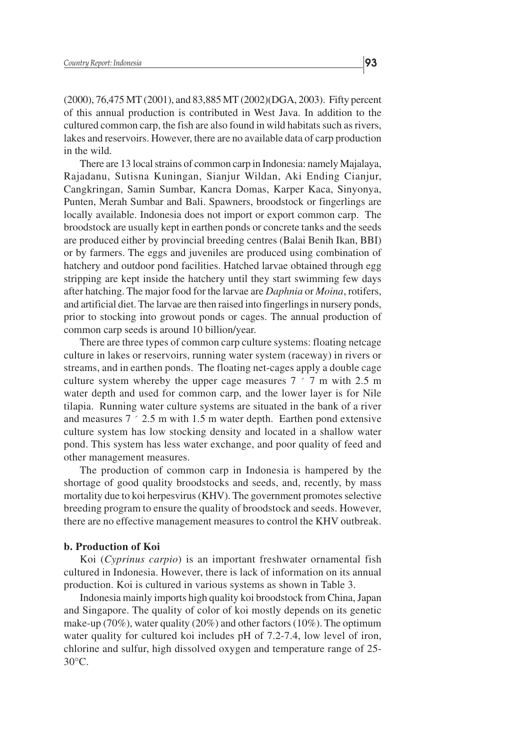(2000), 76,475 MT (2001), and 83,885 MT (2002)(DGA, 2003). Fifty percent of this annual production is contributed in West Java. In addition to the cultured common carp, the fish are also found in wild habitats such as rivers, lakes and reservoirs. However, there are no available data of carp production in the wild.

There are 13 local strains of common carp in Indonesia: namely Majalaya, Rajadanu, Sutisna Kuningan, Sianjur Wildan, Aki Ending Cianjur, Cangkringan, Samin Sumbar, Kancra Domas, Karper Kaca, Sinyonya, Punten, Merah Sumbar and Bali. Spawners, broodstock or fingerlings are locally available. Indonesia does not import or export common carp. The broodstock are usually kept in earthen ponds or concrete tanks and the seeds are produced either by provincial breeding centres (Balai Benih Ikan, BBI) or by farmers. The eggs and juveniles are produced using combination of hatchery and outdoor pond facilities. Hatched larvae obtained through egg stripping are kept inside the hatchery until they start swimming few days after hatching. The major food for the larvae are *Daphnia* or *Moina*, rotifers, and artificial diet. The larvae are then raised into fingerlings in nursery ponds, prior to stocking into growout ponds or cages. The annual production of common carp seeds is around 10 billion/year.

There are three types of common carp culture systems: floating netcage culture in lakes or reservoirs, running water system (raceway) in rivers or streams, and in earthen ponds. The floating net-cages apply a double cage culture system whereby the upper cage measures 7 ´ 7 m with 2.5 m water depth and used for common carp, and the lower layer is for Nile tilapia. Running water culture systems are situated in the bank of a river and measures  $7 \div 2.5$  m with 1.5 m water depth. Earthen pond extensive culture system has low stocking density and located in a shallow water pond. This system has less water exchange, and poor quality of feed and other management measures.

The production of common carp in Indonesia is hampered by the shortage of good quality broodstocks and seeds, and, recently, by mass mortality due to koi herpesvirus (KHV). The government promotes selective breeding program to ensure the quality of broodstock and seeds. However, there are no effective management measures to control the KHV outbreak.

#### **b. Production of Koi**

Koi (*Cyprinus carpio*) is an important freshwater ornamental fish cultured in Indonesia. However, there is lack of information on its annual production. Koi is cultured in various systems as shown in Table 3.

Indonesia mainly imports high quality koi broodstock from China, Japan and Singapore. The quality of color of koi mostly depends on its genetic make-up (70%), water quality (20%) and other factors (10%). The optimum water quality for cultured koi includes pH of 7.2-7.4, low level of iron, chlorine and sulfur, high dissolved oxygen and temperature range of 25- 30°C.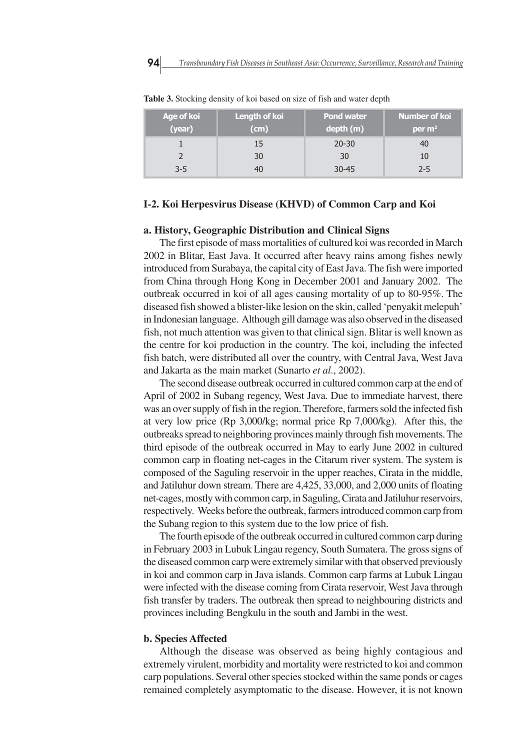| Age of koi<br>(year) | Length of koi<br>(cm) | Pond water<br>depth (m) | <b>Number of koi</b><br>per $m2$ |
|----------------------|-----------------------|-------------------------|----------------------------------|
|                      | 15                    | $20 - 30$               | 40                               |
|                      | 30                    | 30                      | 10                               |
| $3 - 5$              |                       | $30 - 45$               | 2-5                              |

**Table 3.** Stocking density of koi based on size of fish and water depth

#### **I-2. Koi Herpesvirus Disease (KHVD) of Common Carp and Koi**

#### **a. History, Geographic Distribution and Clinical Signs**

The first episode of mass mortalities of cultured koi was recorded in March 2002 in Blitar, East Java. It occurred after heavy rains among fishes newly introduced from Surabaya, the capital city of East Java. The fish were imported from China through Hong Kong in December 2001 and January 2002. The outbreak occurred in koi of all ages causing mortality of up to 80-95%. The diseased fish showed a blister-like lesion on the skin, called 'penyakit melepuh' in Indonesian language. Although gill damage was also observed in the diseased fish, not much attention was given to that clinical sign. Blitar is well known as the centre for koi production in the country. The koi, including the infected fish batch, were distributed all over the country, with Central Java, West Java and Jakarta as the main market (Sunarto *et al*., 2002).

The second disease outbreak occurred in cultured common carp at the end of April of 2002 in Subang regency, West Java. Due to immediate harvest, there was an over supply of fish in the region. Therefore, farmers sold the infected fish at very low price (Rp 3,000/kg; normal price Rp 7,000/kg). After this, the outbreaks spread to neighboring provinces mainly through fish movements. The third episode of the outbreak occurred in May to early June 2002 in cultured common carp in floating net-cages in the Citarum river system. The system is composed of the Saguling reservoir in the upper reaches, Cirata in the middle, and Jatiluhur down stream. There are 4,425, 33,000, and 2,000 units of floating net-cages, mostly with common carp, in Saguling, Cirata and Jatiluhur reservoirs, respectively. Weeks before the outbreak, farmers introduced common carp from the Subang region to this system due to the low price of fish.

The fourth episode of the outbreak occurred in cultured common carp during in February 2003 in Lubuk Lingau regency, South Sumatera. The gross signs of the diseased common carp were extremely similar with that observed previously in koi and common carp in Java islands. Common carp farms at Lubuk Lingau were infected with the disease coming from Cirata reservoir, West Java through fish transfer by traders. The outbreak then spread to neighbouring districts and provinces including Bengkulu in the south and Jambi in the west.

#### **b. Species Affected**

Although the disease was observed as being highly contagious and extremely virulent, morbidity and mortality were restricted to koi and common carp populations. Several other species stocked within the same ponds or cages remained completely asymptomatic to the disease. However, it is not known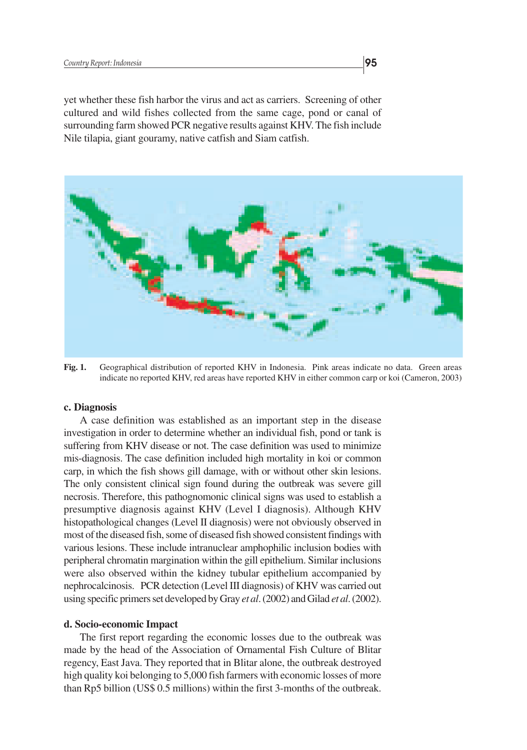yet whether these fish harbor the virus and act as carriers. Screening of other cultured and wild fishes collected from the same cage, pond or canal of surrounding farm showed PCR negative results against KHV. The fish include Nile tilapia, giant gouramy, native catfish and Siam catfish.



**Fig. 1.** Geographical distribution of reported KHV in Indonesia. Pink areas indicate no data. Green areas indicate no reported KHV, red areas have reported KHV in either common carp or koi (Cameron, 2003)

#### **c. Diagnosis**

A case definition was established as an important step in the disease investigation in order to determine whether an individual fish, pond or tank is suffering from KHV disease or not. The case definition was used to minimize mis-diagnosis. The case definition included high mortality in koi or common carp, in which the fish shows gill damage, with or without other skin lesions. The only consistent clinical sign found during the outbreak was severe gill necrosis. Therefore, this pathognomonic clinical signs was used to establish a presumptive diagnosis against KHV (Level I diagnosis). Although KHV histopathological changes (Level II diagnosis) were not obviously observed in most of the diseased fish, some of diseased fish showed consistent findings with various lesions. These include intranuclear amphophilic inclusion bodies with peripheral chromatin margination within the gill epithelium. Similar inclusions were also observed within the kidney tubular epithelium accompanied by nephrocalcinosis. PCR detection (Level III diagnosis) of KHV was carried out using specific primers set developed by Gray *et al*. (2002) and Gilad *et al*. (2002).

#### **d. Socio-economic Impact**

The first report regarding the economic losses due to the outbreak was made by the head of the Association of Ornamental Fish Culture of Blitar regency, East Java. They reported that in Blitar alone, the outbreak destroyed high quality koi belonging to 5,000 fish farmers with economic losses of more than Rp5 billion (US\$ 0.5 millions) within the first 3-months of the outbreak.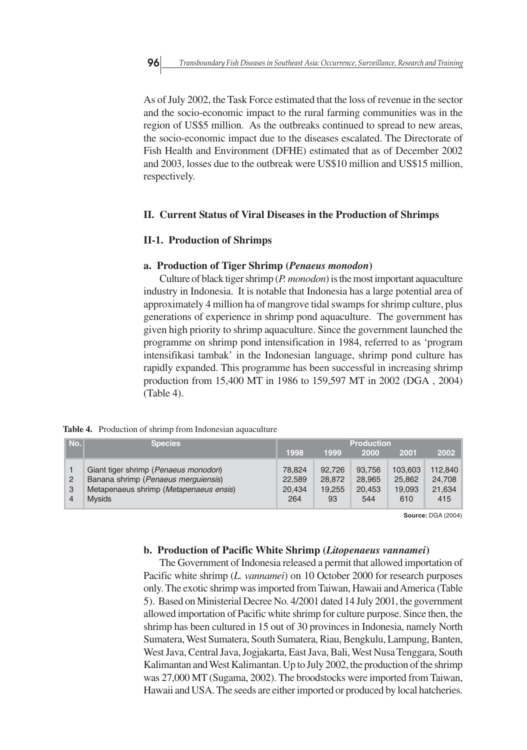As of July 2002, the Task Force estimated that the loss of revenue in the sector and the socio-economic impact to the rural farming communities was in the region of US\$5 million. As the outbreaks continued to spread to new areas, the socio-economic impact due to the diseases escalated. The Directorate of Fish Health and Environment (DFHE) estimated that as of December 2002 and 2003, losses due to the outbreak were US\$10 million and US\$15 million, respectively.

#### **II. Current Status of Viral Diseases in the Production of Shrimps**

#### **II-1. Production of Shrimps**

## **a. Production of Tiger Shrimp (***Penaeus monodon***)**

Culture of black tiger shrimp (*P. monodon*) is the most important aquaculture industry in Indonesia. It is notable that Indonesia has a large potential area of approximately 4 million ha of mangrove tidal swamps for shrimp culture, plus generations of experience in shrimp pond aquaculture. The government has given high priority to shrimp aquaculture. Since the government launched the programme on shrimp pond intensification in 1984, referred to as 'program intensifikasi tambak' in the Indonesian language, shrimp pond culture has rapidly expanded. This programme has been successful in increasing shrimp production from 15,400 MT in 1986 to 159,597 MT in 2002 (DGA , 2004) (Table 4).

**Table 4.** Production of shrimp from Indonesian aquaculture

| No.l        | <b>Species</b>                                                                                                                          | <b>Production</b>                 |                                  |                                   |                                    |                                    |
|-------------|-----------------------------------------------------------------------------------------------------------------------------------------|-----------------------------------|----------------------------------|-----------------------------------|------------------------------------|------------------------------------|
|             |                                                                                                                                         | 1998                              | 1999                             | 2000                              | 2001                               | 2002                               |
| 2<br>3<br>4 | Giant tiger shrimp (Penaeus monodon)<br>Banana shrimp (Penaeus merguiensis)<br>Metapenaeus shrimp (Metapenaeus ensis)<br><b>M</b> vsids | 78.824<br>22,589<br>20.434<br>264 | 92.726<br>28,872<br>19.255<br>93 | 93.756<br>28,965<br>20,453<br>544 | 103.603<br>25,862<br>19.093<br>610 | 112,840<br>24.708<br>21,634<br>415 |

**Source:** DGA (2004)

#### **b. Production of Pacific White Shrimp (***Litopenaeus vannamei***)**

The Government of Indonesia released a permit that allowed importation of Pacific white shrimp (*L. vannamei*) on 10 October 2000 for research purposes only. The exotic shrimp was imported from Taiwan, Hawaii and America (Table 5). Based on Ministerial Decree No. 4/2001 dated 14 July 2001, the government allowed importation of Pacific white shrimp for culture purpose. Since then, the shrimp has been cultured in 15 out of 30 provinces in Indonesia, namely North Sumatera, West Sumatera, South Sumatera, Riau, Bengkulu, Lampung, Banten, West Java, Central Java, Jogjakarta, East Java, Bali, West Nusa Tenggara, South Kalimantan and West Kalimantan. Up to July 2002, the production of the shrimp was 27,000 MT (Sugama, 2002). The broodstocks were imported from Taiwan, Hawaii and USA. The seeds are either imported or produced by local hatcheries.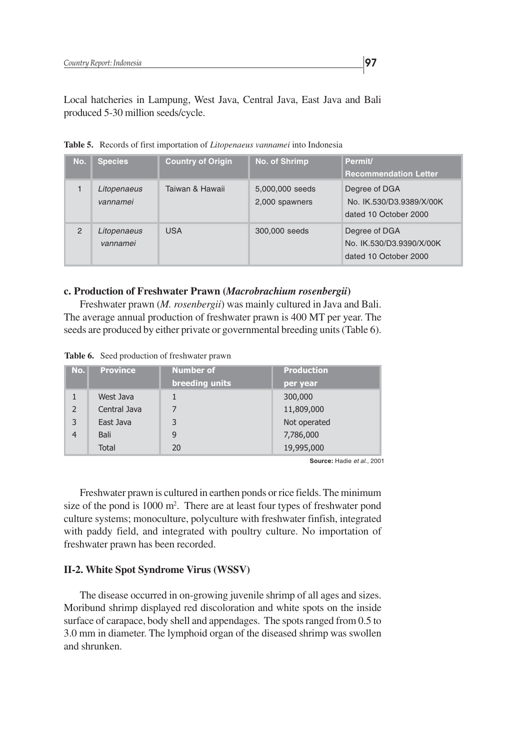Local hatcheries in Lampung, West Java, Central Java, East Java and Bali produced 5-30 million seeds/cycle.

| No.           | <b>Species</b>          | <b>Country of Origin</b> | <b>No. of Shrimp</b>              | Permit/<br><b>Recommendation Letter</b>                            |
|---------------|-------------------------|--------------------------|-----------------------------------|--------------------------------------------------------------------|
|               | Litopenaeus<br>vannamei | Taiwan & Hawaii          | 5,000,000 seeds<br>2,000 spawners | Degree of DGA<br>No. IK.530/D3.9389/X/00K<br>dated 10 October 2000 |
| $\mathcal{P}$ | Litopenaeus<br>vannamei | <b>USA</b>               | 300,000 seeds                     | Degree of DGA<br>No. IK.530/D3.9390/X/00K<br>dated 10 October 2000 |

**Table 5.** Records of first importation of *Litopenaeus vannamei* into Indonesia

#### **c. Production of Freshwater Prawn (***Macrobrachium rosenbergii***)**

Freshwater prawn (*M. rosenbergii*) was mainly cultured in Java and Bali. The average annual production of freshwater prawn is 400 MT per year. The seeds are produced by either private or governmental breeding units (Table 6).

|  |  | Table 6. Seed production of freshwater prawn |
|--|--|----------------------------------------------|
|--|--|----------------------------------------------|

| No.            | <b>Province</b> | <b>Number of</b> | <b>Production</b> |
|----------------|-----------------|------------------|-------------------|
|                |                 | breeding units   | per year          |
|                | West Java       |                  | 300,000           |
| $\overline{2}$ | Central Java    |                  | 11,809,000        |
| 3              | East Java       | 3                | Not operated      |
| $\overline{4}$ | Bali            | 9                | 7,786,000         |
|                | <b>Total</b>    | 20               | 19,995,000        |

**Source:** Hadie et al., 2001

Freshwater prawn is cultured in earthen ponds or rice fields. The minimum size of the pond is 1000 m<sup>2</sup>. There are at least four types of freshwater pond culture systems; monoculture, polyculture with freshwater finfish, integrated with paddy field, and integrated with poultry culture. No importation of freshwater prawn has been recorded.

## **II-2. White Spot Syndrome Virus (WSSV)**

The disease occurred in on-growing juvenile shrimp of all ages and sizes. Moribund shrimp displayed red discoloration and white spots on the inside surface of carapace, body shell and appendages. The spots ranged from 0.5 to 3.0 mm in diameter. The lymphoid organ of the diseased shrimp was swollen and shrunken.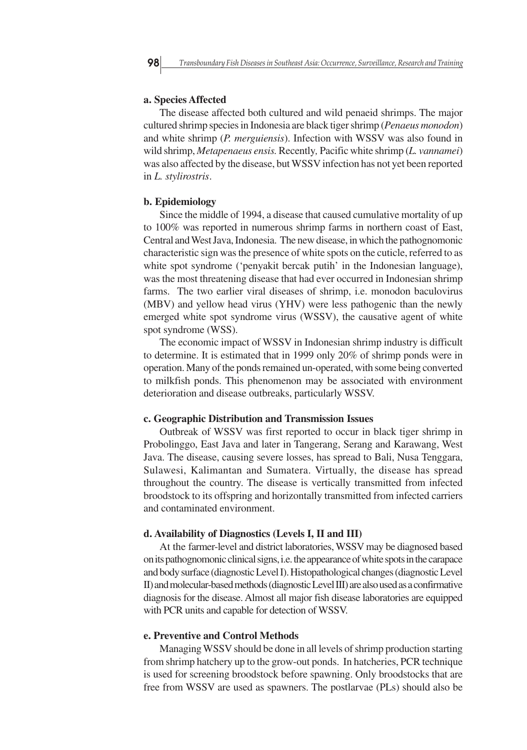#### **a. Species Affected**

The disease affected both cultured and wild penaeid shrimps. The major cultured shrimp species in Indonesia are black tiger shrimp (*Penaeus monodon*) and white shrimp (*P. merguiensis*). Infection with WSSV was also found in wild shrimp, *Metapenaeus ensis.* Recently*,* Pacific white shrimp (*L. vannamei*) was also affected by the disease, but WSSV infection has not yet been reported in *L. stylirostris*.

#### **b. Epidemiology**

Since the middle of 1994, a disease that caused cumulative mortality of up to 100% was reported in numerous shrimp farms in northern coast of East, Central and West Java, Indonesia. The new disease, in which the pathognomonic characteristic sign was the presence of white spots on the cuticle, referred to as white spot syndrome ('penyakit bercak putih' in the Indonesian language), was the most threatening disease that had ever occurred in Indonesian shrimp farms. The two earlier viral diseases of shrimp, i.e. monodon baculovirus (MBV) and yellow head virus (YHV) were less pathogenic than the newly emerged white spot syndrome virus (WSSV), the causative agent of white spot syndrome (WSS).

The economic impact of WSSV in Indonesian shrimp industry is difficult to determine. It is estimated that in 1999 only 20% of shrimp ponds were in operation. Many of the ponds remained un-operated, with some being converted to milkfish ponds. This phenomenon may be associated with environment deterioration and disease outbreaks, particularly WSSV.

#### **c. Geographic Distribution and Transmission Issues**

Outbreak of WSSV was first reported to occur in black tiger shrimp in Probolinggo, East Java and later in Tangerang, Serang and Karawang, West Java. The disease, causing severe losses, has spread to Bali, Nusa Tenggara, Sulawesi, Kalimantan and Sumatera. Virtually, the disease has spread throughout the country. The disease is vertically transmitted from infected broodstock to its offspring and horizontally transmitted from infected carriers and contaminated environment.

#### **d. Availability of Diagnostics (Levels I, II and III)**

At the farmer-level and district laboratories, WSSV may be diagnosed based on its pathognomonic clinical signs, i.e. the appearance of white spots in the carapace and body surface (diagnostic Level I). Histopathological changes (diagnostic Level II) and molecular-based methods (diagnostic Level III) are also used as a confirmative diagnosis for the disease. Almost all major fish disease laboratories are equipped with PCR units and capable for detection of WSSV.

#### **e. Preventive and Control Methods**

Managing WSSV should be done in all levels of shrimp production starting from shrimp hatchery up to the grow-out ponds. In hatcheries, PCR technique is used for screening broodstock before spawning. Only broodstocks that are free from WSSV are used as spawners. The postlarvae (PLs) should also be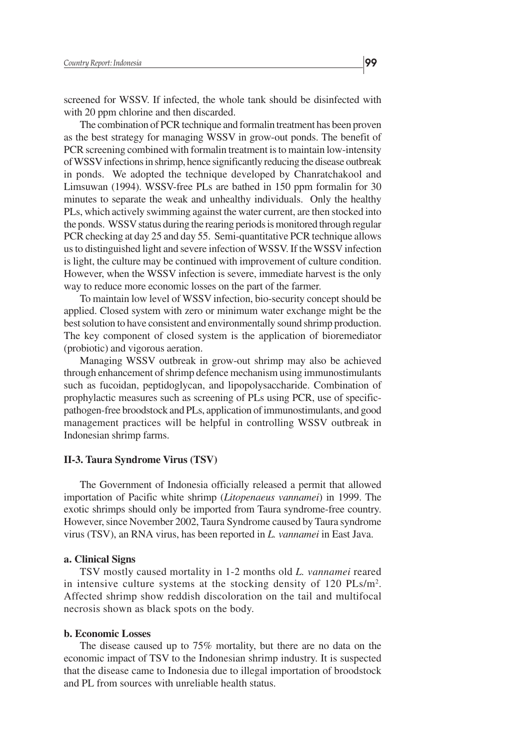screened for WSSV. If infected, the whole tank should be disinfected with with 20 ppm chlorine and then discarded.

The combination of PCR technique and formalin treatment has been proven as the best strategy for managing WSSV in grow-out ponds. The benefit of PCR screening combined with formalin treatment is to maintain low-intensity of WSSV infections in shrimp, hence significantly reducing the disease outbreak in ponds. We adopted the technique developed by Chanratchakool and Limsuwan (1994). WSSV-free PLs are bathed in 150 ppm formalin for 30 minutes to separate the weak and unhealthy individuals. Only the healthy PLs, which actively swimming against the water current, are then stocked into the ponds. WSSV status during the rearing periods is monitored through regular PCR checking at day 25 and day 55. Semi-quantitative PCR technique allows us to distinguished light and severe infection of WSSV. If the WSSV infection is light, the culture may be continued with improvement of culture condition. However, when the WSSV infection is severe, immediate harvest is the only way to reduce more economic losses on the part of the farmer.

To maintain low level of WSSV infection, bio-security concept should be applied. Closed system with zero or minimum water exchange might be the best solution to have consistent and environmentally sound shrimp production. The key component of closed system is the application of bioremediator (probiotic) and vigorous aeration.

Managing WSSV outbreak in grow-out shrimp may also be achieved through enhancement of shrimp defence mechanism using immunostimulants such as fucoidan, peptidoglycan, and lipopolysaccharide. Combination of prophylactic measures such as screening of PLs using PCR, use of specificpathogen-free broodstock and PLs, application of immunostimulants, and good management practices will be helpful in controlling WSSV outbreak in Indonesian shrimp farms.

#### **II-3. Taura Syndrome Virus (TSV)**

The Government of Indonesia officially released a permit that allowed importation of Pacific white shrimp (*Litopenaeus vannamei*) in 1999. The exotic shrimps should only be imported from Taura syndrome-free country. However, since November 2002, Taura Syndrome caused by Taura syndrome virus (TSV), an RNA virus, has been reported in *L. vannamei* in East Java.

#### **a. Clinical Signs**

TSV mostly caused mortality in 1-2 months old *L. vannamei* reared in intensive culture systems at the stocking density of  $120$  PLs/m<sup>2</sup>. Affected shrimp show reddish discoloration on the tail and multifocal necrosis shown as black spots on the body.

#### **b. Economic Losses**

The disease caused up to 75% mortality, but there are no data on the economic impact of TSV to the Indonesian shrimp industry. It is suspected that the disease came to Indonesia due to illegal importation of broodstock and PL from sources with unreliable health status.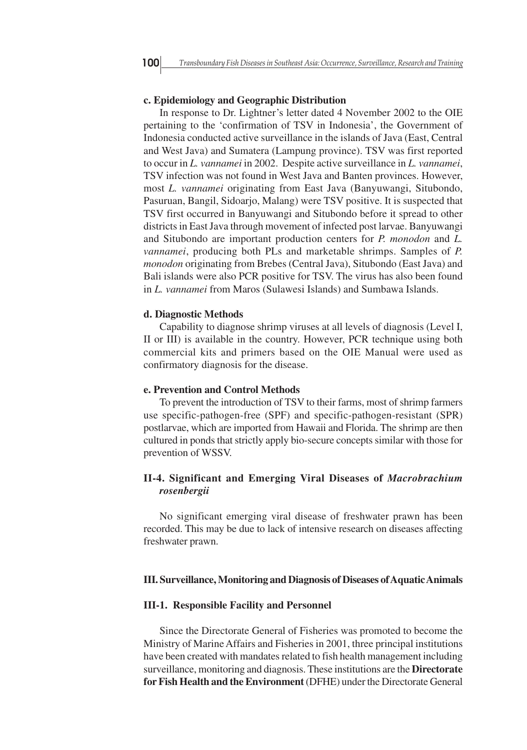#### **c. Epidemiology and Geographic Distribution**

In response to Dr. Lightner's letter dated 4 November 2002 to the OIE pertaining to the 'confirmation of TSV in Indonesia', the Government of Indonesia conducted active surveillance in the islands of Java (East, Central and West Java) and Sumatera (Lampung province). TSV was first reported to occur in *L. vannamei* in 2002. Despite active surveillance in *L. vannamei*, TSV infection was not found in West Java and Banten provinces. However, most *L. vannamei* originating from East Java (Banyuwangi, Situbondo, Pasuruan, Bangil, Sidoarjo, Malang) were TSV positive. It is suspected that TSV first occurred in Banyuwangi and Situbondo before it spread to other districts in East Java through movement of infected post larvae. Banyuwangi and Situbondo are important production centers for *P. monodon* and *L. vannamei*, producing both PLs and marketable shrimps. Samples of *P. monodon* originating from Brebes (Central Java), Situbondo (East Java) and Bali islands were also PCR positive for TSV. The virus has also been found in *L. vannamei* from Maros (Sulawesi Islands) and Sumbawa Islands.

#### **d. Diagnostic Methods**

Capability to diagnose shrimp viruses at all levels of diagnosis (Level I, II or III) is available in the country. However, PCR technique using both commercial kits and primers based on the OIE Manual were used as confirmatory diagnosis for the disease.

#### **e. Prevention and Control Methods**

To prevent the introduction of TSV to their farms, most of shrimp farmers use specific-pathogen-free (SPF) and specific-pathogen-resistant (SPR) postlarvae, which are imported from Hawaii and Florida. The shrimp are then cultured in ponds that strictly apply bio-secure concepts similar with those for prevention of WSSV.

## **II-4. Significant and Emerging Viral Diseases of** *Macrobrachium rosenbergii*

No significant emerging viral disease of freshwater prawn has been recorded. This may be due to lack of intensive research on diseases affecting freshwater prawn.

#### **III. Surveillance, Monitoring and Diagnosis of Diseases of Aquatic Animals**

#### **III-1. Responsible Facility and Personnel**

Since the Directorate General of Fisheries was promoted to become the Ministry of Marine Affairs and Fisheries in 2001, three principal institutions have been created with mandates related to fish health management including surveillance, monitoring and diagnosis. These institutions are the **Directorate for Fish Health and the Environment** (DFHE) under the Directorate General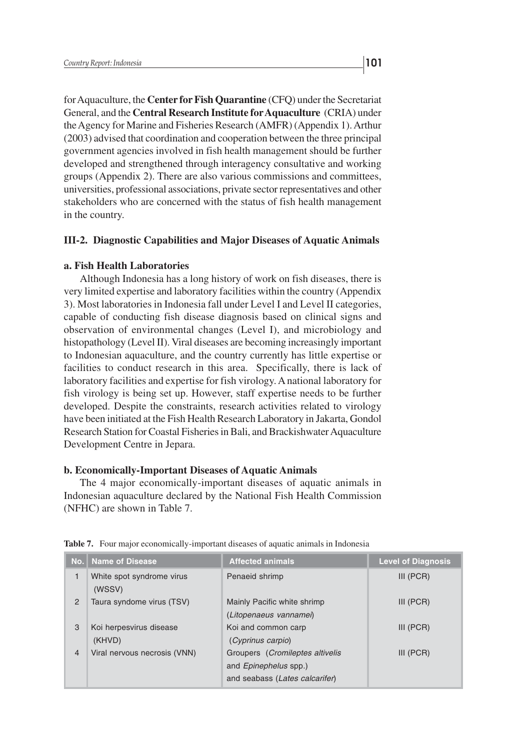for Aquaculture, the **Center for Fish Quarantine** (CFQ) under the Secretariat General, and the **Central Research Institute for Aquaculture** (CRIA) under the Agency for Marine and Fisheries Research (AMFR) (Appendix 1). Arthur (2003) advised that coordination and cooperation between the three principal government agencies involved in fish health management should be further developed and strengthened through interagency consultative and working groups (Appendix 2). There are also various commissions and committees, universities, professional associations, private sector representatives and other stakeholders who are concerned with the status of fish health management in the country.

## **III-2. Diagnostic Capabilities and Major Diseases of Aquatic Animals**

## **a. Fish Health Laboratories**

Although Indonesia has a long history of work on fish diseases, there is very limited expertise and laboratory facilities within the country (Appendix 3). Most laboratories in Indonesia fall under Level I and Level II categories, capable of conducting fish disease diagnosis based on clinical signs and observation of environmental changes (Level I), and microbiology and histopathology (Level II). Viral diseases are becoming increasingly important to Indonesian aquaculture, and the country currently has little expertise or facilities to conduct research in this area. Specifically, there is lack of laboratory facilities and expertise for fish virology. A national laboratory for fish virology is being set up. However, staff expertise needs to be further developed. Despite the constraints, research activities related to virology have been initiated at the Fish Health Research Laboratory in Jakarta, Gondol Research Station for Coastal Fisheries in Bali, and Brackishwater Aquaculture Development Centre in Jepara.

#### **b. Economically-Important Diseases of Aquatic Animals**

The 4 major economically-important diseases of aquatic animals in Indonesian aquaculture declared by the National Fish Health Commission (NFHC) are shown in Table 7.

|                | No. Name of Disease                 | <b>Affected animals</b>                                                                                   | <b>Level of Diagnosis</b> |
|----------------|-------------------------------------|-----------------------------------------------------------------------------------------------------------|---------------------------|
| 1              | White spot syndrome virus<br>(WSSV) | Penaeid shrimp                                                                                            | $III$ (PCR)               |
| $\overline{2}$ | Taura syndome virus (TSV)           | Mainly Pacific white shrimp<br>(Litopenaeus vannamei)                                                     | $III$ (PCR)               |
| 3              | Koi herpesvirus disease<br>(KHVD)   | Koi and common carp<br>(Cyprinus carpio)                                                                  | $III$ (PCR)               |
| $\overline{4}$ | Viral nervous necrosis (VNN)        | Groupers ( <i>Cromileptes altivelis</i><br>and <i>Epinephelus</i> spp.)<br>and seabass (Lates calcarifer) | $III$ (PCR)               |

**Table 7.** Four major economically-important diseases of aquatic animals in Indonesia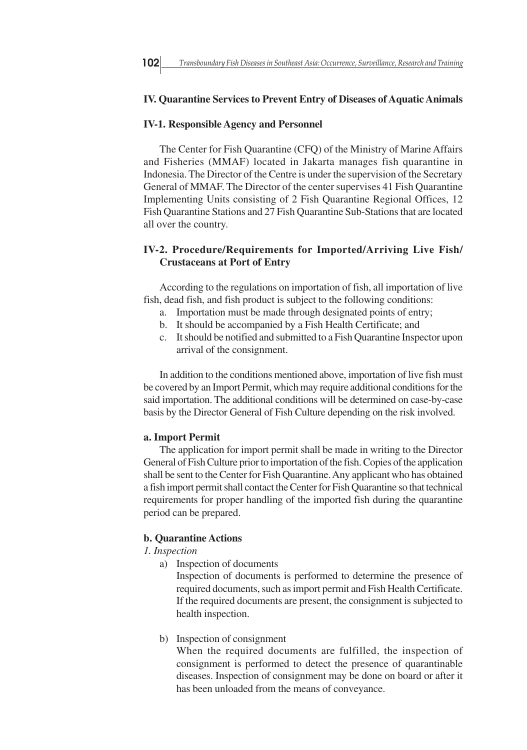#### **IV. Quarantine Services to Prevent Entry of Diseases of Aquatic Animals**

#### **IV-1. Responsible Agency and Personnel**

The Center for Fish Quarantine (CFQ) of the Ministry of Marine Affairs and Fisheries (MMAF) located in Jakarta manages fish quarantine in Indonesia. The Director of the Centre is under the supervision of the Secretary General of MMAF. The Director of the center supervises 41 Fish Quarantine Implementing Units consisting of 2 Fish Quarantine Regional Offices, 12 Fish Quarantine Stations and 27 Fish Quarantine Sub-Stations that are located all over the country.

## **IV-2. Procedure/Requirements for Imported/Arriving Live Fish/ Crustaceans at Port of Entry**

According to the regulations on importation of fish, all importation of live fish, dead fish, and fish product is subject to the following conditions:

- a. Importation must be made through designated points of entry;
- b. It should be accompanied by a Fish Health Certificate; and
- c. It should be notified and submitted to a Fish Quarantine Inspector upon arrival of the consignment.

In addition to the conditions mentioned above, importation of live fish must be covered by an Import Permit, which may require additional conditions for the said importation. The additional conditions will be determined on case-by-case basis by the Director General of Fish Culture depending on the risk involved.

#### **a. Import Permit**

The application for import permit shall be made in writing to the Director General of Fish Culture prior to importation of the fish. Copies of the application shall be sent to the Center for Fish Quarantine. Any applicant who has obtained a fish import permit shall contact the Center for Fish Quarantine so that technical requirements for proper handling of the imported fish during the quarantine period can be prepared.

## **b. Quarantine Actions**

#### *1. Inspection*

a) Inspection of documents

Inspection of documents is performed to determine the presence of required documents, such as import permit and Fish Health Certificate. If the required documents are present, the consignment is subjected to health inspection.

b) Inspection of consignment

When the required documents are fulfilled, the inspection of consignment is performed to detect the presence of quarantinable diseases. Inspection of consignment may be done on board or after it has been unloaded from the means of conveyance.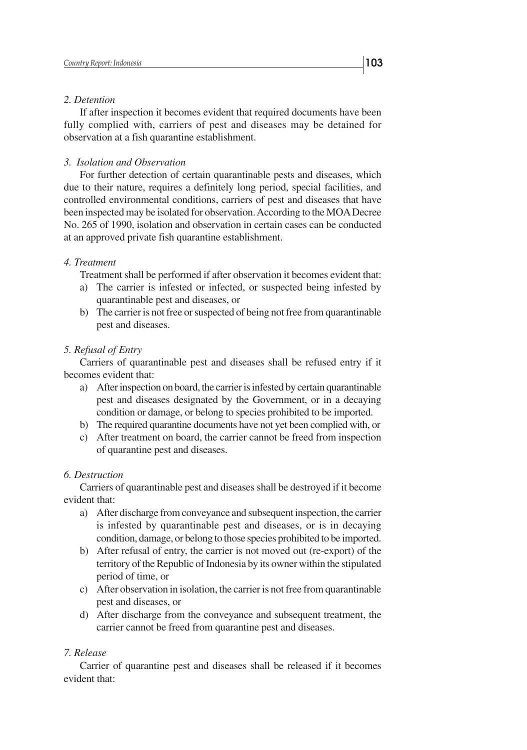## *2. Detention*

If after inspection it becomes evident that required documents have been fully complied with, carriers of pest and diseases may be detained for observation at a fish quarantine establishment.

#### *3. Isolation and Observation*

For further detection of certain quarantinable pests and diseases, which due to their nature, requires a definitely long period, special facilities, and controlled environmental conditions, carriers of pest and diseases that have been inspected may be isolated for observation. According to the MOA Decree No. 265 of 1990, isolation and observation in certain cases can be conducted at an approved private fish quarantine establishment.

#### *4. Treatment*

Treatment shall be performed if after observation it becomes evident that:

- a) The carrier is infested or infected, or suspected being infested by quarantinable pest and diseases, or
- b) The carrier is not free or suspected of being not free from quarantinable pest and diseases.

## *5. Refusal of Entry*

Carriers of quarantinable pest and diseases shall be refused entry if it becomes evident that:

- a) After inspection on board, the carrier is infested by certain quarantinable pest and diseases designated by the Government, or in a decaying condition or damage, or belong to species prohibited to be imported.
- b) The required quarantine documents have not yet been complied with, or
- c) After treatment on board, the carrier cannot be freed from inspection of quarantine pest and diseases.

## *6. Destruction*

Carriers of quarantinable pest and diseases shall be destroyed if it become evident that:

- a) After discharge from conveyance and subsequent inspection, the carrier is infested by quarantinable pest and diseases, or is in decaying condition, damage, or belong to those species prohibited to be imported.
- b) After refusal of entry, the carrier is not moved out (re-export) of the territory of the Republic of Indonesia by its owner within the stipulated period of time, or
- c) After observation in isolation, the carrier is not free from quarantinable pest and diseases, or
- d) After discharge from the conveyance and subsequent treatment, the carrier cannot be freed from quarantine pest and diseases.

#### *7. Release*

Carrier of quarantine pest and diseases shall be released if it becomes evident that: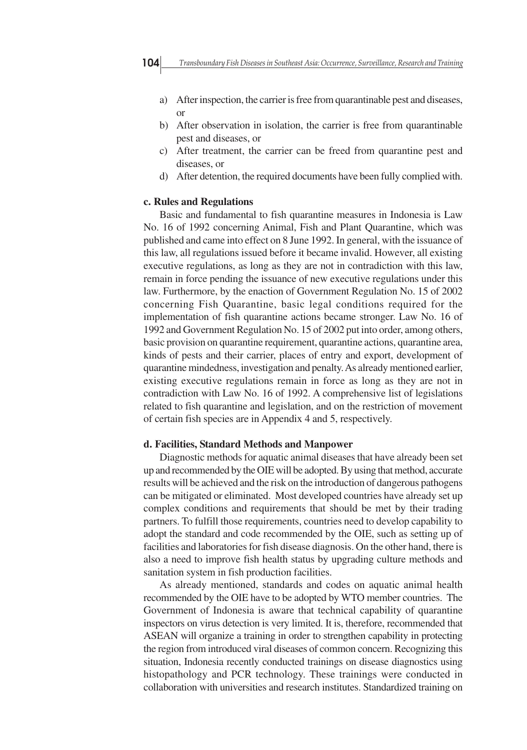- a) After inspection, the carrier is free from quarantinable pest and diseases, or
- b) After observation in isolation, the carrier is free from quarantinable pest and diseases, or
- c) After treatment, the carrier can be freed from quarantine pest and diseases, or
- d) After detention, the required documents have been fully complied with.

#### **c. Rules and Regulations**

Basic and fundamental to fish quarantine measures in Indonesia is Law No. 16 of 1992 concerning Animal, Fish and Plant Quarantine, which was published and came into effect on 8 June 1992. In general, with the issuance of this law, all regulations issued before it became invalid. However, all existing executive regulations, as long as they are not in contradiction with this law, remain in force pending the issuance of new executive regulations under this law. Furthermore, by the enaction of Government Regulation No. 15 of 2002 concerning Fish Quarantine, basic legal conditions required for the implementation of fish quarantine actions became stronger. Law No. 16 of 1992 and Government Regulation No. 15 of 2002 put into order, among others, basic provision on quarantine requirement, quarantine actions, quarantine area, kinds of pests and their carrier, places of entry and export, development of quarantine mindedness, investigation and penalty. As already mentioned earlier, existing executive regulations remain in force as long as they are not in contradiction with Law No. 16 of 1992. A comprehensive list of legislations related to fish quarantine and legislation, and on the restriction of movement of certain fish species are in Appendix 4 and 5, respectively.

#### **d. Facilities, Standard Methods and Manpower**

Diagnostic methods for aquatic animal diseases that have already been set up and recommended by the OIE will be adopted. By using that method, accurate results will be achieved and the risk on the introduction of dangerous pathogens can be mitigated or eliminated. Most developed countries have already set up complex conditions and requirements that should be met by their trading partners. To fulfill those requirements, countries need to develop capability to adopt the standard and code recommended by the OIE, such as setting up of facilities and laboratories for fish disease diagnosis. On the other hand, there is also a need to improve fish health status by upgrading culture methods and sanitation system in fish production facilities.

As already mentioned, standards and codes on aquatic animal health recommended by the OIE have to be adopted by WTO member countries. The Government of Indonesia is aware that technical capability of quarantine inspectors on virus detection is very limited. It is, therefore, recommended that ASEAN will organize a training in order to strengthen capability in protecting the region from introduced viral diseases of common concern. Recognizing this situation, Indonesia recently conducted trainings on disease diagnostics using histopathology and PCR technology. These trainings were conducted in collaboration with universities and research institutes. Standardized training on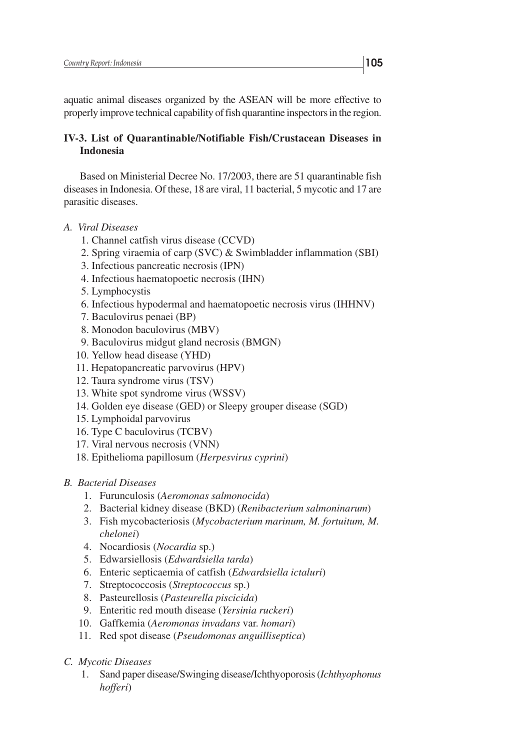aquatic animal diseases organized by the ASEAN will be more effective to properly improve technical capability of fish quarantine inspectors in the region.

## **IV-3. List of Quarantinable/Notifiable Fish/Crustacean Diseases in Indonesia**

Based on Ministerial Decree No. 17/2003, there are 51 quarantinable fish diseases in Indonesia. Of these, 18 are viral, 11 bacterial, 5 mycotic and 17 are parasitic diseases.

- *A. Viral Diseases*
	- 1. Channel catfish virus disease (CCVD)
	- 2. Spring viraemia of carp (SVC) & Swimbladder inflammation (SBI)
	- 3. Infectious pancreatic necrosis (IPN)
	- 4. Infectious haematopoetic necrosis (IHN)
	- 5. Lymphocystis
	- 6. Infectious hypodermal and haematopoetic necrosis virus (IHHNV)
	- 7. Baculovirus penaei (BP)
	- 8. Monodon baculovirus (MBV)
	- 9. Baculovirus midgut gland necrosis (BMGN)
	- 10. Yellow head disease (YHD)
	- 11. Hepatopancreatic parvovirus (HPV)
	- 12. Taura syndrome virus (TSV)
	- 13. White spot syndrome virus (WSSV)
	- 14. Golden eye disease (GED) or Sleepy grouper disease (SGD)
	- 15. Lymphoidal parvovirus
	- 16. Type C baculovirus (TCBV)
	- 17. Viral nervous necrosis (VNN)
	- 18. Epithelioma papillosum (*Herpesvirus cyprini*)

## *B. Bacterial Diseases*

- 1. Furunculosis (*Aeromonas salmonocida*)
- 2. Bacterial kidney disease (BKD) (*Renibacterium salmoninarum*)
- 3. Fish mycobacteriosis (*Mycobacterium marinum, M. fortuitum, M. chelonei*)
- 4. Nocardiosis (*Nocardia* sp.)
- 5. Edwarsiellosis (*Edwardsiella tarda*)
- 6. Enteric septicaemia of catfish (*Edwardsiella ictaluri*)
- 7. Streptococcosis (*Streptococcus* sp.)
- 8. Pasteurellosis (*Pasteurella piscicida*)
- 9. Enteritic red mouth disease (*Yersinia ruckeri*)
- 10. Gaffkemia (*Aeromonas invadans* var. *homari*)
- 11. Red spot disease (*Pseudomonas anguilliseptica*)
- *C. Mycotic Diseases*
	- 1. Sand paper disease/Swinging disease/Ichthyoporosis (*Ichthyophonus hofferi*)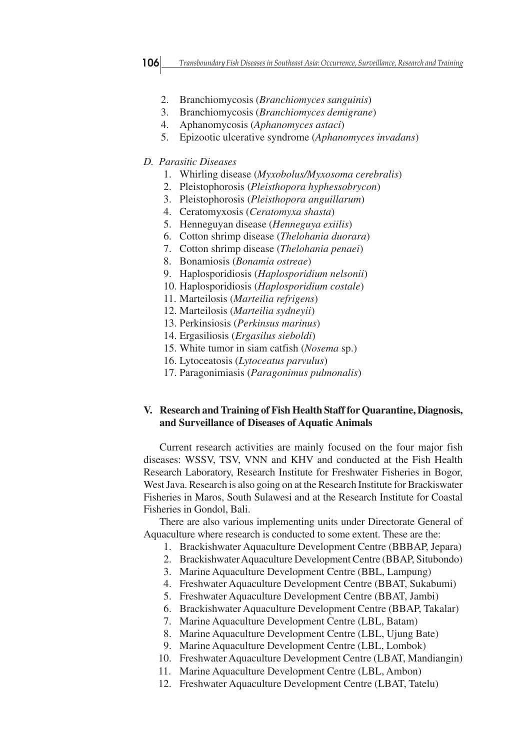- 
- 2. Branchiomycosis (*Branchiomyces sanguinis*)
- 3. Branchiomycosis (*Branchiomyces demigrane*)
- 4. Aphanomycosis (*Aphanomyces astaci*)
- 5. Epizootic ulcerative syndrome (*Aphanomyces invadans*)

## *D. Parasitic Diseases*

- 1. Whirling disease (*Myxobolus/Myxosoma cerebralis*)
- 2. Pleistophorosis (*Pleisthopora hyphessobrycon*)
- 3. Pleistophorosis (*Pleisthopora anguillarum*)
- 4. Ceratomyxosis (*Ceratomyxa shasta*)
- 5. Henneguyan disease (*Henneguya exiilis*)
- 6. Cotton shrimp disease (*Thelohania duorara*)
- 7. Cotton shrimp disease (*Thelohania penaei*)
- 8. Bonamiosis (*Bonamia ostreae*)
- 9. Haplosporidiosis (*Haplosporidium nelsonii*)
- 10. Haplosporidiosis (*Haplosporidium costale*)
- 11. Marteilosis (*Marteilia refrigens*)
- 12. Marteilosis (*Marteilia sydneyii*)
- 13. Perkinsiosis (*Perkinsus marinus*)
- 14. Ergasiliosis (*Ergasilus sieboldi*)
- 15. White tumor in siam catfish (*Nosema* sp.)
- 16. Lytoceatosis (*Lytoceatus parvulus*)
- 17. Paragonimiasis (*Paragonimus pulmonalis*)

## **V. Research and Training of Fish Health Staff for Quarantine, Diagnosis, and Surveillance of Diseases of Aquatic Animals**

Current research activities are mainly focused on the four major fish diseases: WSSV, TSV, VNN and KHV and conducted at the Fish Health Research Laboratory, Research Institute for Freshwater Fisheries in Bogor, West Java. Research is also going on at the Research Institute for Brackiswater Fisheries in Maros, South Sulawesi and at the Research Institute for Coastal Fisheries in Gondol, Bali.

There are also various implementing units under Directorate General of Aquaculture where research is conducted to some extent. These are the:

- 1. Brackishwater Aquaculture Development Centre (BBBAP, Jepara)
- 2. Brackishwater Aquaculture Development Centre (BBAP, Situbondo)
- 3. Marine Aquaculture Development Centre (BBL, Lampung)
- 4. Freshwater Aquaculture Development Centre (BBAT, Sukabumi)
- 5. Freshwater Aquaculture Development Centre (BBAT, Jambi)
- 6. Brackishwater Aquaculture Development Centre (BBAP, Takalar)
- 7. Marine Aquaculture Development Centre (LBL, Batam)
- 8. Marine Aquaculture Development Centre (LBL, Ujung Bate)
- 9. Marine Aquaculture Development Centre (LBL, Lombok)
- 10. Freshwater Aquaculture Development Centre (LBAT, Mandiangin)
- 11. Marine Aquaculture Development Centre (LBL, Ambon)
- 12. Freshwater Aquaculture Development Centre (LBAT, Tatelu)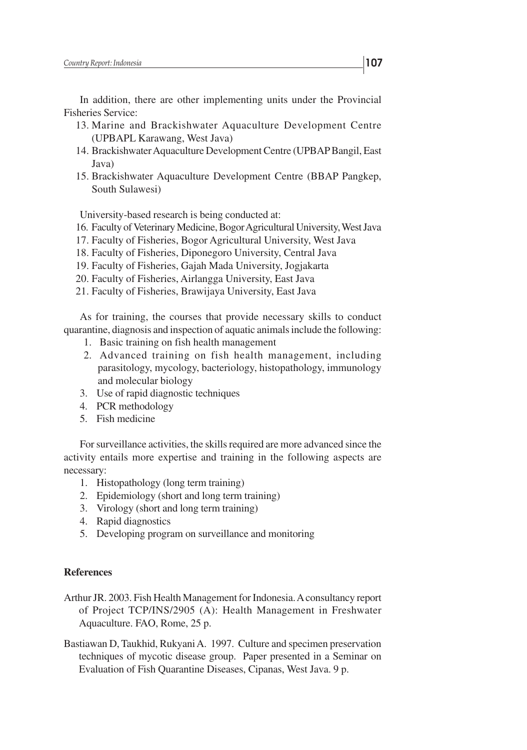In addition, there are other implementing units under the Provincial Fisheries Service:

- 13. Marine and Brackishwater Aquaculture Development Centre (UPBAPL Karawang, West Java)
- 14. Brackishwater Aquaculture Development Centre (UPBAP Bangil, East Java)
- 15. Brackishwater Aquaculture Development Centre (BBAP Pangkep, South Sulawesi)

University-based research is being conducted at:

- 16. Faculty of Veterinary Medicine, Bogor Agricultural University, West Java
- 17. Faculty of Fisheries, Bogor Agricultural University, West Java
- 18. Faculty of Fisheries, Diponegoro University, Central Java
- 19. Faculty of Fisheries, Gajah Mada University, Jogjakarta
- 20. Faculty of Fisheries, Airlangga University, East Java
- 21. Faculty of Fisheries, Brawijaya University, East Java

As for training, the courses that provide necessary skills to conduct quarantine, diagnosis and inspection of aquatic animals include the following:

- 1. Basic training on fish health management
- 2. Advanced training on fish health management, including parasitology, mycology, bacteriology, histopathology, immunology and molecular biology
- 3. Use of rapid diagnostic techniques
- 4. PCR methodology
- 5. Fish medicine

For surveillance activities, the skills required are more advanced since the activity entails more expertise and training in the following aspects are necessary:

- 1. Histopathology (long term training)
- 2. Epidemiology (short and long term training)
- 3. Virology (short and long term training)
- 4. Rapid diagnostics
- 5. Developing program on surveillance and monitoring

#### **References**

- Arthur JR. 2003. Fish Health Management for Indonesia. A consultancy report of Project TCP/INS/2905 (A): Health Management in Freshwater Aquaculture. FAO, Rome, 25 p.
- Bastiawan D, Taukhid, Rukyani A. 1997. Culture and specimen preservation techniques of mycotic disease group. Paper presented in a Seminar on Evaluation of Fish Quarantine Diseases, Cipanas, West Java. 9 p.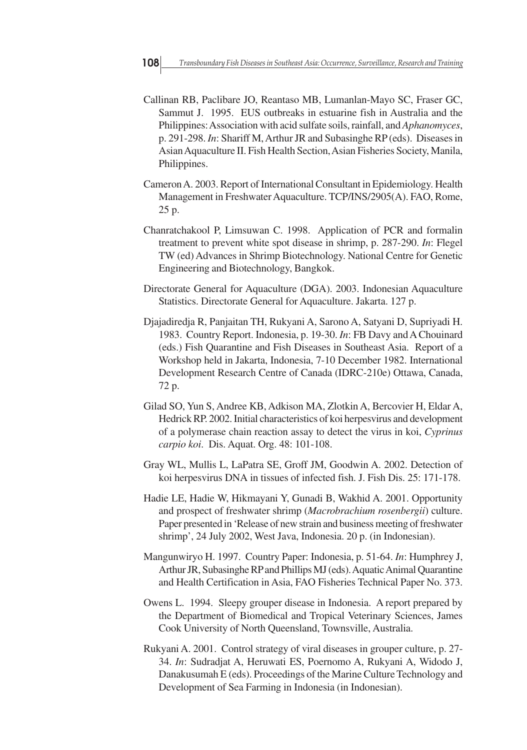- Callinan RB, Paclibare JO, Reantaso MB, Lumanlan-Mayo SC, Fraser GC, Sammut J. 1995. EUS outbreaks in estuarine fish in Australia and the Philippines: Association with acid sulfate soils, rainfall, and *Aphanomyces*, p. 291-298. *In*: Shariff M, Arthur JR and Subasinghe RP (eds). Diseases in Asian Aquaculture II. Fish Health Section, Asian Fisheries Society, Manila, Philippines.
- Cameron A. 2003. Report of International Consultant in Epidemiology. Health Management in Freshwater Aquaculture. TCP/INS/2905(A). FAO, Rome, 25 p.
- Chanratchakool P, Limsuwan C. 1998. Application of PCR and formalin treatment to prevent white spot disease in shrimp, p. 287-290. *In*: Flegel TW (ed) Advances in Shrimp Biotechnology. National Centre for Genetic Engineering and Biotechnology, Bangkok.
- Directorate General for Aquaculture (DGA). 2003. Indonesian Aquaculture Statistics. Directorate General for Aquaculture. Jakarta. 127 p.
- Djajadiredja R, Panjaitan TH, Rukyani A, Sarono A, Satyani D, Supriyadi H. 1983. Country Report. Indonesia, p. 19-30. *In*: FB Davy and A Chouinard (eds.) Fish Quarantine and Fish Diseases in Southeast Asia. Report of a Workshop held in Jakarta, Indonesia, 7-10 December 1982. International Development Research Centre of Canada (IDRC-210e) Ottawa, Canada, 72 p.
- Gilad SO, Yun S, Andree KB, Adkison MA, Zlotkin A, Bercovier H, Eldar A, Hedrick RP. 2002. Initial characteristics of koi herpesvirus and development of a polymerase chain reaction assay to detect the virus in koi, *Cyprinus carpio koi*. Dis. Aquat. Org. 48: 101-108.
- Gray WL, Mullis L, LaPatra SE, Groff JM, Goodwin A. 2002. Detection of koi herpesvirus DNA in tissues of infected fish. J. Fish Dis. 25: 171-178.
- Hadie LE, Hadie W, Hikmayani Y, Gunadi B, Wakhid A. 2001. Opportunity and prospect of freshwater shrimp (*Macrobrachium rosenbergii*) culture. Paper presented in 'Release of new strain and business meeting of freshwater shrimp', 24 July 2002, West Java, Indonesia. 20 p. (in Indonesian).
- Mangunwiryo H. 1997. Country Paper: Indonesia, p. 51-64. *In*: Humphrey J, Arthur JR, Subasinghe RP and Phillips MJ (eds). Aquatic Animal Quarantine and Health Certification in Asia, FAO Fisheries Technical Paper No. 373.
- Owens L. 1994. Sleepy grouper disease in Indonesia. A report prepared by the Department of Biomedical and Tropical Veterinary Sciences, James Cook University of North Queensland, Townsville, Australia.
- Rukyani A. 2001. Control strategy of viral diseases in grouper culture, p. 27- 34. *In*: Sudradjat A, Heruwati ES, Poernomo A, Rukyani A, Widodo J, Danakusumah E (eds). Proceedings of the Marine Culture Technology and Development of Sea Farming in Indonesia (in Indonesian).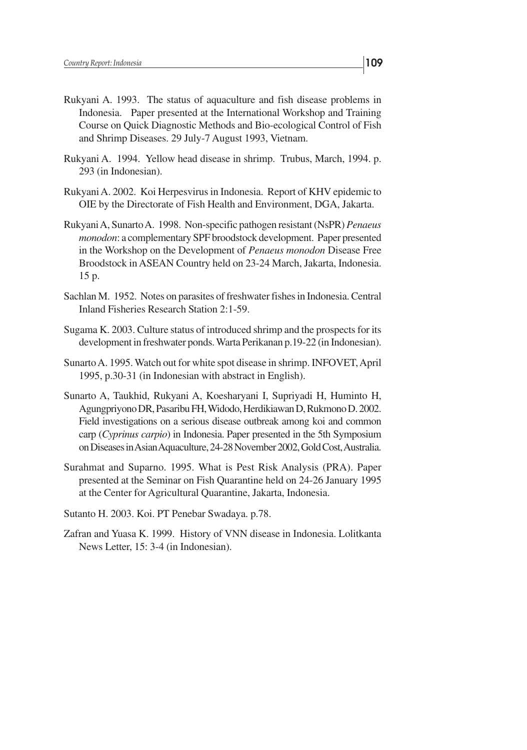- Rukyani A. 1993. The status of aquaculture and fish disease problems in Indonesia. Paper presented at the International Workshop and Training Course on Quick Diagnostic Methods and Bio-ecological Control of Fish and Shrimp Diseases. 29 July-7 August 1993, Vietnam.
- Rukyani A. 1994. Yellow head disease in shrimp. Trubus, March, 1994. p. 293 (in Indonesian).
- Rukyani A. 2002. Koi Herpesvirus in Indonesia. Report of KHV epidemic to OIE by the Directorate of Fish Health and Environment, DGA, Jakarta.
- Rukyani A, Sunarto A. 1998. Non-specific pathogen resistant (NsPR) *Penaeus monodon*: a complementary SPF broodstock development. Paper presented in the Workshop on the Development of *Penaeus monodon* Disease Free Broodstock in ASEAN Country held on 23-24 March, Jakarta, Indonesia. 15 p.
- Sachlan M. 1952. Notes on parasites of freshwater fishes in Indonesia. Central Inland Fisheries Research Station 2:1-59.
- Sugama K. 2003. Culture status of introduced shrimp and the prospects for its development in freshwater ponds. Warta Perikanan p.19-22 (in Indonesian).
- Sunarto A. 1995. Watch out for white spot disease in shrimp. INFOVET, April 1995, p.30-31 (in Indonesian with abstract in English).
- Sunarto A, Taukhid, Rukyani A, Koesharyani I, Supriyadi H, Huminto H, Agungpriyono DR, Pasaribu FH, Widodo, Herdikiawan D, Rukmono D. 2002. Field investigations on a serious disease outbreak among koi and common carp (*Cyprinus carpio*) in Indonesia. Paper presented in the 5th Symposium on Diseases in Asian Aquaculture, 24-28 November 2002, Gold Cost, Australia.
- Surahmat and Suparno. 1995. What is Pest Risk Analysis (PRA). Paper presented at the Seminar on Fish Quarantine held on 24-26 January 1995 at the Center for Agricultural Quarantine, Jakarta, Indonesia.
- Sutanto H. 2003. Koi. PT Penebar Swadaya. p.78.
- Zafran and Yuasa K. 1999. History of VNN disease in Indonesia. Lolitkanta News Letter, 15: 3-4 (in Indonesian).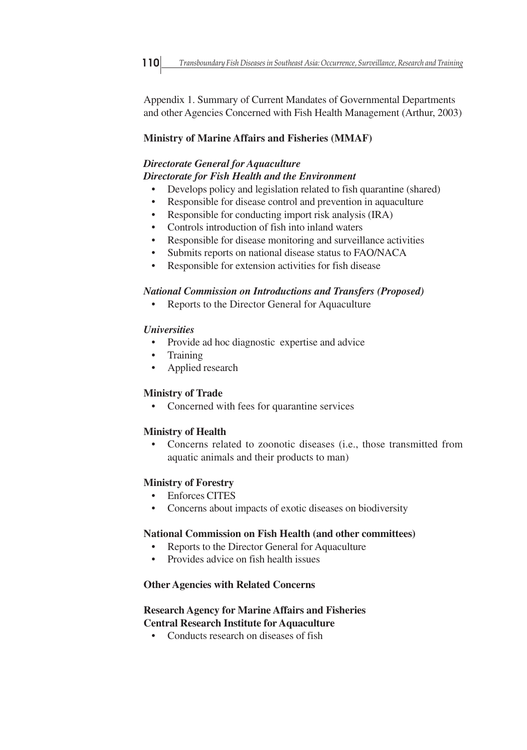Appendix 1. Summary of Current Mandates of Governmental Departments and other Agencies Concerned with Fish Health Management (Arthur, 2003)

## **Ministry of Marine Affairs and Fisheries (MMAF)**

# *Directorate General for Aquaculture Directorate for Fish Health and the Environment*

- Develops policy and legislation related to fish quarantine (shared)
- Responsible for disease control and prevention in aquaculture
- Responsible for conducting import risk analysis (IRA)
- Controls introduction of fish into inland waters
- Responsible for disease monitoring and surveillance activities
- Submits reports on national disease status to FAO/NACA
- Responsible for extension activities for fish disease

## *National Commission on Introductions and Transfers (Proposed)*

Reports to the Director General for Aquaculture

## *Universities*

- Provide ad hoc diagnostic expertise and advice
- **Training**
- Applied research

## **Ministry of Trade**

• Concerned with fees for quarantine services

## **Ministry of Health**

• Concerns related to zoonotic diseases (i.e., those transmitted from aquatic animals and their products to man)

## **Ministry of Forestry**

- Enforces CITES
- Concerns about impacts of exotic diseases on biodiversity

## **National Commission on Fish Health (and other committees)**

- Reports to the Director General for Aquaculture
- Provides advice on fish health issues

## **Other Agencies with Related Concerns**

# **Research Agency for Marine Affairs and Fisheries**

# **Central Research Institute for Aquaculture**

• Conducts research on diseases of fish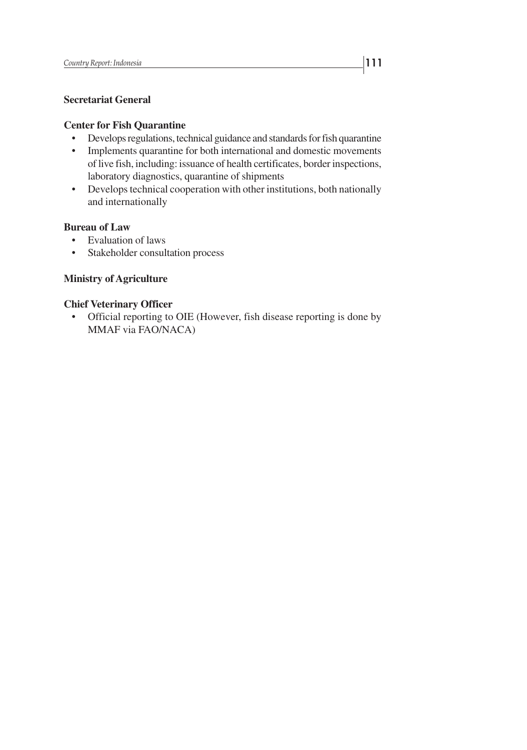## **Secretariat General**

## **Center for Fish Quarantine**

- Develops regulations, technical guidance and standards for fish quarantine
- Implements quarantine for both international and domestic movements of live fish, including: issuance of health certificates, border inspections, laboratory diagnostics, quarantine of shipments
- Develops technical cooperation with other institutions, both nationally and internationally

## **Bureau of Law**

- Evaluation of laws
- Stakeholder consultation process

## **Ministry of Agriculture**

#### **Chief Veterinary Officer**

• Official reporting to OIE (However, fish disease reporting is done by MMAF via FAO/NACA)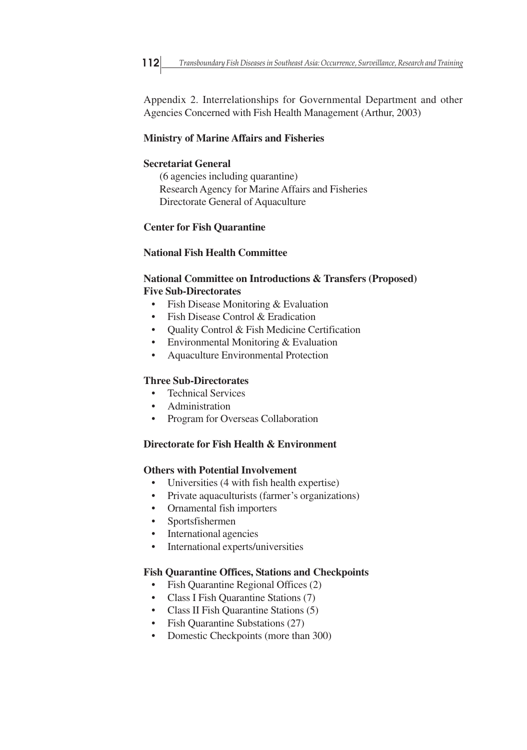Appendix 2. Interrelationships for Governmental Department and other Agencies Concerned with Fish Health Management (Arthur, 2003)

## **Ministry of Marine Affairs and Fisheries**

## **Secretariat General**

(6 agencies including quarantine) Research Agency for Marine Affairs and Fisheries Directorate General of Aquaculture

## **Center for Fish Quarantine**

## **National Fish Health Committee**

## **National Committee on Introductions & Transfers (Proposed) Five Sub-Directorates**

- Fish Disease Monitoring & Evaluation
- Fish Disease Control & Eradication
- Ouality Control & Fish Medicine Certification
- Environmental Monitoring & Evaluation
- Aquaculture Environmental Protection

## **Three Sub-Directorates**

- Technical Services
- Administration
- Program for Overseas Collaboration

## **Directorate for Fish Health & Environment**

## **Others with Potential Involvement**

- Universities (4 with fish health expertise)
- Private aquaculturists (farmer's organizations)
- Ornamental fish importers
- Sportsfishermen
- International agencies
- International experts/universities

## **Fish Quarantine Offices, Stations and Checkpoints**

- Fish Quarantine Regional Offices (2)
- Class I Fish Quarantine Stations (7)
- Class II Fish Quarantine Stations (5)
- Fish Quarantine Substations (27)
- Domestic Checkpoints (more than 300)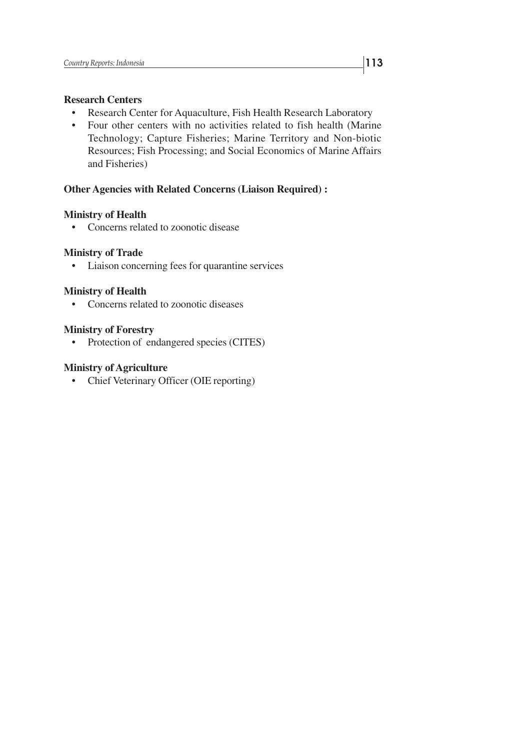## **Research Centers**

- Research Center for Aquaculture, Fish Health Research Laboratory
- Four other centers with no activities related to fish health (Marine Technology; Capture Fisheries; Marine Territory and Non-biotic Resources; Fish Processing; and Social Economics of Marine Affairs and Fisheries)

## **Other Agencies with Related Concerns (Liaison Required) :**

## **Ministry of Health**

• Concerns related to zoonotic disease

## **Ministry of Trade**

• Liaison concerning fees for quarantine services

## **Ministry of Health**

• Concerns related to zoonotic diseases

## **Ministry of Forestry**

• Protection of endangered species (CITES)

## **Ministry of Agriculture**

• Chief Veterinary Officer (OIE reporting)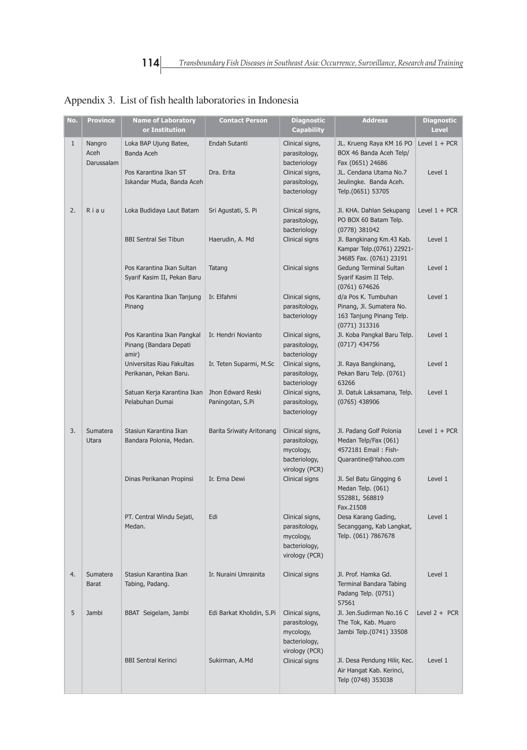| No.          | <b>Province</b>              | <b>Name of Laboratory</b><br>or Institution                   | <b>Contact Person</b>                 | <b>Diagnostic</b><br><b>Capability</b>                                           | <b>Address</b>                                                                                    | <b>Diagnostic</b><br><b>Level</b> |
|--------------|------------------------------|---------------------------------------------------------------|---------------------------------------|----------------------------------------------------------------------------------|---------------------------------------------------------------------------------------------------|-----------------------------------|
| $\mathbf{1}$ | Nangro<br>Aceh<br>Darussalam | Loka BAP Ujung Batee,<br>Banda Aceh<br>Pos Karantina Ikan ST  | Endah Sutanti<br>Dra. Erita           | Clinical signs,<br>parasitology,<br>bacteriology<br>Clinical signs,              | JL. Krueng Raya KM 16 PO<br>BOX 46 Banda Aceh Telp/<br>Fax (0651) 24686<br>JL. Cendana Utama No.7 | Level $1 + PCR$<br>Level 1        |
|              |                              | Iskandar Muda, Banda Aceh                                     |                                       | parasitology,<br>bacteriology                                                    | Jeulingke. Banda Aceh.<br>Telp.(0651) 53705                                                       |                                   |
| 2.           | Riau                         | Loka Budidaya Laut Batam                                      | Sri Agustati, S. Pi                   | Clinical signs,<br>parasitology,<br>bacteriology                                 | Jl. KHA. Dahlan Sekupang<br>PO BOX 60 Batam Telp.<br>(0778) 381042                                | Level $1 + PCR$                   |
|              |                              | <b>BBI Sentral Sei Tibun</b>                                  | Haerudin, A. Md                       | Clinical signs                                                                   | Jl. Bangkinang Km.43 Kab.<br>Kampar Telp.(0761) 22921-<br>34685 Fax. (0761) 23191                 | Level 1                           |
|              |                              | Pos Karantina Ikan Sultan<br>Syarif Kasim II, Pekan Baru      | Tatang                                | Clinical signs                                                                   | Gedung Terminal Sultan<br>Syarif Kasim II Telp.<br>(0761) 674626                                  | Level 1                           |
|              |                              | Pos Karantina Ikan Tanjung<br>Pinang                          | Ir. Elfahmi                           | Clinical signs,<br>parasitology,<br>bacteriology                                 | d/a Pos K. Tumbuhan<br>Pinang, Jl. Sumatera No.<br>163 Tanjung Pinang Telp.<br>(0771) 313316      | Level 1                           |
|              |                              | Pos Karantina Ikan Pangkal<br>Pinang (Bandara Depati<br>amir) | Ir. Hendri Novianto                   | Clinical signs,<br>parasitology,<br>bacteriology                                 | Jl. Koba Pangkal Baru Telp.<br>(0717) 434756                                                      | Level 1                           |
|              |                              | Universitas Riau Fakultas<br>Perikanan, Pekan Baru.           | Ir. Teten Suparmi, M.Sc               | Clinical signs,<br>parasitology,<br>bacteriology                                 | Jl. Raya Bangkinang,<br>Pekan Baru Telp. (0761)<br>63266                                          | Level 1                           |
|              |                              | Satuan Kerja Karantina Ikan<br>Pelabuhan Dumai                | Jhon Edward Reski<br>Paningotan, S.Pi | Clinical signs,<br>parasitology,<br>bacteriology                                 | Jl. Datuk Laksamana, Telp.<br>(0765) 438906                                                       | Level 1                           |
| 3.           | Sumatera<br>Utara            | Stasiun Karantina Ikan<br>Bandara Polonia, Medan.             | <b>Barita Sriwaty Aritonang</b>       | Clinical signs,<br>parasitology,<br>mycology,<br>bacteriology,<br>virology (PCR) | Jl. Padang Golf Polonia<br>Medan Telp/Fax (061)<br>4572181 Email: Fish-<br>Quarantine@Yahoo.com   | Level $1 + PCR$                   |
|              |                              | Dinas Perikanan Propinsi                                      | Ir. Erna Dewi                         | Clinical signs                                                                   | Jl. Sel Batu Gingging 6<br>Medan Telp. (061)<br>552881, 568819<br>Fax.21508                       | Level 1                           |
|              |                              | PT. Central Windu Sejati,<br>Medan.                           | Edi                                   | Clinical signs,<br>parasitology,<br>mycology,<br>bacteriology,<br>virology (PCR) | Desa Karang Gading,<br>Secanggang, Kab Langkat,<br>Telp. (061) 7867678                            | Level 1                           |
| 4.           | Sumatera<br><b>Barat</b>     | Stasiun Karantina Ikan<br>Tabing, Padang.                     | Ir. Nuraini Umrainita                 | Clinical signs                                                                   | Jl. Prof. Hamka Gd.<br>Terminal Bandara Tabing<br>Padang Telp. (0751)<br>57561                    | Level 1                           |
| 5            | Jambi                        | BBAT Seigelam, Jambi                                          | Edi Barkat Kholidin, S.Pi             | Clinical signs,<br>parasitology,<br>mycology,<br>bacteriology,<br>virology (PCR) | Jl. Jen.Sudirman No.16 C<br>The Tok, Kab. Muaro<br>Jambi Telp.(0741) 33508                        | Level $2 + PCR$                   |
|              |                              | <b>BBI Sentral Kerinci</b>                                    | Sukirman, A.Md                        | Clinical signs                                                                   | Jl. Desa Pendung Hilir, Kec.<br>Air Hangat Kab. Kerinci,<br>Telp (0748) 353038                    | Level 1                           |

# Appendix 3. List of fish health laboratories in Indonesia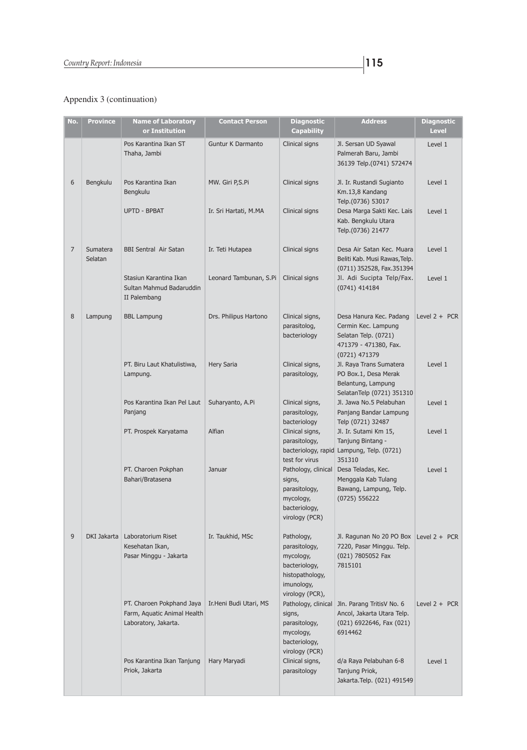| No. | <b>Province</b>     | <b>Name of Laboratory</b>                                                        | <b>Contact Person</b>  | <b>Diagnostic</b>                                                                                             | <b>Address</b>                                                                                                   | <b>Diagnostic</b> |
|-----|---------------------|----------------------------------------------------------------------------------|------------------------|---------------------------------------------------------------------------------------------------------------|------------------------------------------------------------------------------------------------------------------|-------------------|
|     |                     | or Institution                                                                   |                        | <b>Capability</b>                                                                                             |                                                                                                                  | <b>Level</b>      |
|     |                     | Pos Karantina Ikan ST<br>Thaha, Jambi                                            | Guntur K Darmanto      | Clinical signs                                                                                                | Jl. Sersan UD Syawal<br>Palmerah Baru, Jambi<br>36139 Telp.(0741) 572474                                         | Level 1           |
| 6   | Bengkulu            | Pos Karantina Ikan<br>Bengkulu                                                   | MW. Giri P,S.Pi        | Clinical signs                                                                                                | Jl. Ir. Rustandi Sugianto<br>Km.13,8 Kandang<br>Telp.(0736) 53017                                                | Level 1           |
|     |                     | <b>UPTD - BPBAT</b>                                                              | Ir. Sri Hartati, M.MA  | Clinical signs                                                                                                | Desa Marga Sakti Kec. Lais<br>Kab. Bengkulu Utara<br>Telp.(0736) 21477                                           | Level 1           |
| 7   | Sumatera<br>Selatan | <b>BBI Sentral Air Satan</b>                                                     | Ir. Teti Hutapea       | Clinical signs                                                                                                | Desa Air Satan Kec. Muara<br>Beliti Kab. Musi Rawas, Telp.<br>(0711) 352528, Fax.351394                          | Level 1           |
|     |                     | Stasiun Karantina Ikan<br>Sultan Mahmud Badaruddin<br>II Palembang               | Leonard Tambunan, S.Pi | Clinical signs                                                                                                | Jl. Adi Sucipta Telp/Fax.<br>$(0741)$ 414184                                                                     | Level 1           |
| 8   | Lampung             | <b>BBL Lampung</b>                                                               | Drs. Philipus Hartono  | Clinical signs,<br>parasitolog,<br>bacteriology                                                               | Desa Hanura Kec. Padang<br>Cermin Kec. Lampung<br>Selatan Telp. (0721)<br>471379 - 471380, Fax.<br>(0721) 471379 | Level $2 + PCR$   |
|     |                     | PT. Biru Laut Khatulistiwa,<br>Lampung.                                          | <b>Hery Saria</b>      | Clinical signs,<br>parasitology,                                                                              | Jl. Raya Trans Sumatera<br>PO Box.1, Desa Merak<br>Belantung, Lampung<br>SelatanTelp (0721) 351310               | Level 1           |
|     |                     | Pos Karantina Ikan Pel Laut<br>Panjang                                           | Suharyanto, A.Pi       | Clinical signs,<br>parasitology,<br>bacteriology                                                              | Jl. Jawa No.5 Pelabuhan<br>Panjang Bandar Lampung<br>Telp (0721) 32487                                           | Level 1           |
|     |                     | PT. Prospek Karyatama                                                            | Alfian                 | Clinical signs,<br>parasitology,<br>test for virus                                                            | Jl. Ir. Sutami Km 15,<br>Tanjung Bintang -<br>bacteriology, rapid Lampung, Telp. (0721)<br>351310                | Level 1           |
|     |                     | PT. Charoen Pokphan<br>Bahari/Bratasena                                          | Januar                 | Pathology, clinical<br>signs,<br>parasitology,<br>mycology,<br>bacteriology,<br>virology (PCR)                | Desa Teladas, Kec.<br>Menggala Kab Tulang<br>Bawang, Lampung, Telp.<br>(0725) 556222                             | Level 1           |
| 9   |                     | DKI Jakarta   Laboratorium Riset<br>Kesehatan Ikan,<br>Pasar Minggu - Jakarta    | Ir. Taukhid, MSc       | Pathology,<br>parasitology,<br>mycology,<br>bacteriology,<br>histopathology,<br>imunology,<br>virology (PCR), | Jl. Ragunan No 20 PO Box Level 2 + PCR<br>7220, Pasar Minggu. Telp.<br>(021) 7805052 Fax<br>7815101              |                   |
|     |                     | PT. Charoen Pokphand Jaya<br>Farm, Aquatic Animal Health<br>Laboratory, Jakarta. | Ir.Heni Budi Utari, MS | Pathology, clinical<br>signs,<br>parasitology,<br>mycology,<br>bacteriology,<br>virology (PCR)                | Jln. Parang TritisV No. 6<br>Ancol, Jakarta Utara Telp.<br>(021) 6922646, Fax (021)<br>6914462                   | Level $2 + PCR$   |
|     |                     | Pos Karantina Ikan Tanjung<br>Priok, Jakarta                                     | Hary Maryadi           | Clinical signs,<br>parasitology                                                                               | d/a Raya Pelabuhan 6-8<br>Tanjung Priok,<br>Jakarta. Telp. (021) 491549                                          | Level 1           |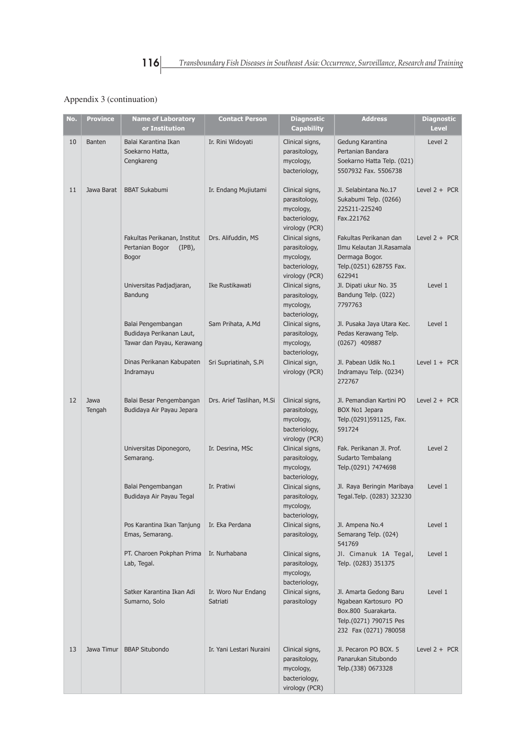| No. | <b>Province</b> | <b>Name of Laboratory</b><br>or Institution                                 | <b>Contact Person</b>           | <b>Diagnostic</b><br><b>Capability</b>                                           | <b>Address</b>                                                                                                           | <b>Diagnostic</b><br>Level |
|-----|-----------------|-----------------------------------------------------------------------------|---------------------------------|----------------------------------------------------------------------------------|--------------------------------------------------------------------------------------------------------------------------|----------------------------|
| 10  | <b>Banten</b>   | Balai Karantina Ikan<br>Soekarno Hatta,<br>Cengkareng                       | Ir. Rini Widoyati               | Clinical signs,<br>parasitology,<br>mycology,<br>bacteriology,                   | Gedung Karantina<br>Pertanian Bandara<br>Soekarno Hatta Telp. (021)<br>5507932 Fax. 5506738                              | Level 2                    |
| 11  | Jawa Barat      | <b>BBAT Sukabumi</b>                                                        | Ir. Endang Mujiutami            | Clinical signs,<br>parasitology,<br>mycology,<br>bacteriology,<br>virology (PCR) | Jl. Selabintana No.17<br>Sukabumi Telp. (0266)<br>225211-225240<br>Fax.221762                                            | Level $2 + PCR$            |
|     |                 | Fakultas Perikanan, Institut<br>Pertanian Bogor<br>$(IPB)$ ,<br>Bogor       | Drs. Alifuddin, MS              | Clinical signs,<br>parasitology,<br>mycology,<br>bacteriology,<br>virology (PCR) | Fakultas Perikanan dan<br>Ilmu Kelautan Jl.Rasamala<br>Dermaga Bogor.<br>Telp.(0251) 628755 Fax.<br>622941               | Level $2 + PCR$            |
|     |                 | Universitas Padjadjaran,<br>Bandung                                         | Ike Rustikawati                 | Clinical signs,<br>parasitology,<br>mycology,<br>bacteriology,                   | Jl. Dipati ukur No. 35<br>Bandung Telp. (022)<br>7797763                                                                 | Level 1                    |
|     |                 | Balai Pengembangan<br>Budidaya Perikanan Laut,<br>Tawar dan Payau, Kerawang | Sam Prihata, A.Md               | Clinical signs,<br>parasitology,<br>mycology,<br>bacteriology,                   | Jl. Pusaka Jaya Utara Kec.<br>Pedas Kerawang Telp.<br>(0267) 409887                                                      | Level 1                    |
|     |                 | Dinas Perikanan Kabupaten<br>Indramayu                                      | Sri Supriatinah, S.Pi           | Clinical sign,<br>virology (PCR)                                                 | Jl. Pabean Udik No.1<br>Indramayu Telp. (0234)<br>272767                                                                 | Level $1 + PCR$            |
| 12  | Jawa<br>Tengah  | Balai Besar Pengembangan<br>Budidaya Air Payau Jepara                       | Drs. Arief Taslihan, M.Si       | Clinical signs,<br>parasitology,<br>mycology,<br>bacteriology,<br>virology (PCR) | Jl. Pemandian Kartini PO<br><b>BOX No1 Jepara</b><br>Telp.(0291)591125, Fax.<br>591724                                   | Level $2 + PCR$            |
|     |                 | Universitas Diponegoro,<br>Semarang.                                        | Ir. Desrina, MSc                | Clinical signs,<br>parasitology,<br>mycology,<br>bacteriology,                   | Fak. Perikanan Jl. Prof.<br>Sudarto Tembalang<br>Telp.(0291) 7474698                                                     | Level 2                    |
|     |                 | Balai Pengembangan<br>Budidaya Air Payau Tegal                              | Ir. Pratiwi                     | Clinical signs,<br>parasitology,<br>mycology,<br>bacteriology,                   | Jl. Raya Beringin Maribaya<br>Tegal.Telp. (0283) 323230                                                                  | Level 1                    |
|     |                 | Pos Karantina Ikan Tanjung<br>Emas, Semarang.                               | Ir. Eka Perdana                 | Clinical signs,<br>parasitology,                                                 | Jl. Ampena No.4<br>Semarang Telp. (024)<br>541769                                                                        | Level 1                    |
|     |                 | PT. Charoen Pokphan Prima<br>Lab, Tegal.                                    | Ir. Nurhabana                   | Clinical signs,<br>parasitology,<br>mycology,<br>bacteriology,                   | Jl. Cimanuk 1A Tegal,<br>Telp. (0283) 351375                                                                             | Level 1                    |
|     |                 | Satker Karantina Ikan Adi<br>Sumarno, Solo                                  | Ir. Woro Nur Endang<br>Satriati | Clinical signs,<br>parasitology                                                  | Jl. Amarta Gedong Baru<br>Ngabean Kartosuro PO<br>Box.800 Suarakarta.<br>Telp.(0271) 790715 Pes<br>232 Fax (0271) 780058 | Level 1                    |
| 13  | Jawa Timur      | <b>BBAP Situbondo</b>                                                       | Ir. Yani Lestari Nuraini        | Clinical signs,<br>parasitology,<br>mycology,<br>bacteriology,<br>virology (PCR) | Jl. Pecaron PO BOX. 5<br>Panarukan Situbondo<br>Telp.(338) 0673328                                                       | Level $2 + PCR$            |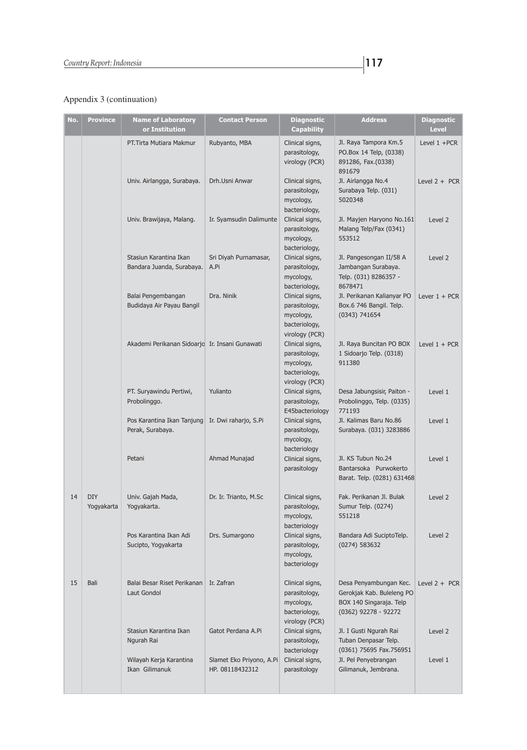| No. | <b>Province</b>          | <b>Name of Laboratory</b><br>or Institution         | <b>Contact Person</b>                       | <b>Diagnostic</b><br>Capability                                                  | <b>Address</b>                                                                                         | <b>Diagnostic</b><br><b>Level</b> |
|-----|--------------------------|-----------------------------------------------------|---------------------------------------------|----------------------------------------------------------------------------------|--------------------------------------------------------------------------------------------------------|-----------------------------------|
|     |                          | PT. Tirta Mutiara Makmur                            | Rubyanto, MBA                               | Clinical signs,<br>parasitology,<br>virology (PCR)                               | Jl. Raya Tampora Km.5<br>PO.Box 14 Telp, (0338)<br>891286, Fax.(0338)<br>891679                        | Level $1 + PCR$                   |
|     |                          | Univ. Airlangga, Surabaya.                          | Drh.Usni Anwar                              | Clinical signs,<br>parasitology,<br>mycology,<br>bacteriology,                   | Jl. Airlangga No.4<br>Surabaya Telp. (031)<br>5020348                                                  | Level $2 + PCR$                   |
|     |                          | Univ. Brawijaya, Malang.                            | Ir. Syamsudin Dalimunte                     | Clinical signs,<br>parasitology,<br>mycology,<br>bacteriology,                   | Jl. Mayjen Haryono No.161<br>Malang Telp/Fax (0341)<br>553512                                          | Level 2                           |
|     |                          | Stasiun Karantina Ikan<br>Bandara Juanda, Surabaya. | Sri Diyah Purnamasar,<br>A.Pi               | Clinical signs,<br>parasitology,<br>mycology,<br>bacteriology,                   | Jl. Pangesongan II/58 A<br>Jambangan Surabaya.<br>Telp. (031) 8286357 -<br>8678471                     | Level 2                           |
|     |                          | Balai Pengembangan<br>Budidaya Air Payau Bangil     | Dra. Ninik                                  | Clinical signs,<br>parasitology,<br>mycology,<br>bacteriology,<br>virology (PCR) | Jl. Perikanan Kalianyar PO<br>Box.6 746 Bangil. Telp.<br>(0343) 741654                                 | Lever $1 + PCR$                   |
|     |                          | Akademi Perikanan Sidoarjo Ir. Insani Gunawati      |                                             | Clinical signs,<br>parasitology,<br>mycology,<br>bacteriology,<br>virology (PCR) | Jl. Raya Buncitan PO BOX<br>1 Sidoarjo Telp. (0318)<br>911380                                          | Level $1 + PCR$                   |
|     |                          | PT. Suryawindu Pertiwi,<br>Probolinggo.             | Yulianto                                    | Clinical signs,<br>parasitology,<br>E45bacteriology                              | Desa Jabungsisir, Paiton -<br>Probolinggo, Telp. (0335)<br>771193                                      | Level 1                           |
|     |                          | Pos Karantina Ikan Tanjung<br>Perak, Surabaya.      | Ir. Dwi raharjo, S.Pi                       | Clinical signs,<br>parasitology,<br>mycology,<br>bacteriology                    | Jl. Kalimas Baru No.86<br>Surabaya. (031) 3283886                                                      | Level 1                           |
|     |                          | Petani                                              | Ahmad Munajad                               | Clinical signs,<br>parasitology                                                  | Jl. KS Tubun No.24<br>Bantarsoka Purwokerto<br>Barat. Telp. (0281) 631468                              | Level 1                           |
| 14  | <b>DIY</b><br>Yogyakarta | Univ. Gajah Mada,<br>Yogyakarta.                    | Dr. Ir. Trianto, M.Sc                       | Clinical signs,<br>parasitology,<br>mycology,<br>bacteriology                    | Fak. Perikanan Jl. Bulak<br>Sumur Telp. (0274)<br>551218                                               | Level 2                           |
|     |                          | Pos Karantina Ikan Adi<br>Sucipto, Yogyakarta       | Drs. Sumargono                              | Clinical signs,<br>parasitology,<br>mycology,<br>bacteriology                    | Bandara Adi SuciptoTelp.<br>(0274) 583632                                                              | Level 2                           |
| 15  | Bali                     | Balai Besar Riset Perikanan<br>Laut Gondol          | Ir. Zafran                                  | Clinical signs,<br>parasitology,<br>mycology,<br>bacteriology,<br>virology (PCR) | Desa Penyambungan Kec.<br>Gerokjak Kab. Buleleng PO<br>BOX 140 Singaraja. Telp<br>(0362) 92278 - 92272 | Level $2 + PCR$                   |
|     |                          | Stasiun Karantina Ikan<br>Ngurah Rai                | Gatot Perdana A.Pi                          | Clinical signs,<br>parasitology,<br>bacteriology                                 | Jl. I Gusti Ngurah Rai<br>Tuban Denpasar Telp.<br>(0361) 75695 Fax.756951                              | Level 2                           |
|     |                          | Wilayah Kerja Karantina<br>Ikan Gilimanuk           | Slamet Eko Priyono, A.Pi<br>HP. 08118432312 | Clinical signs,<br>parasitology                                                  | Jl. Pel Penyebrangan<br>Gilimanuk, Jembrana.                                                           | Level 1                           |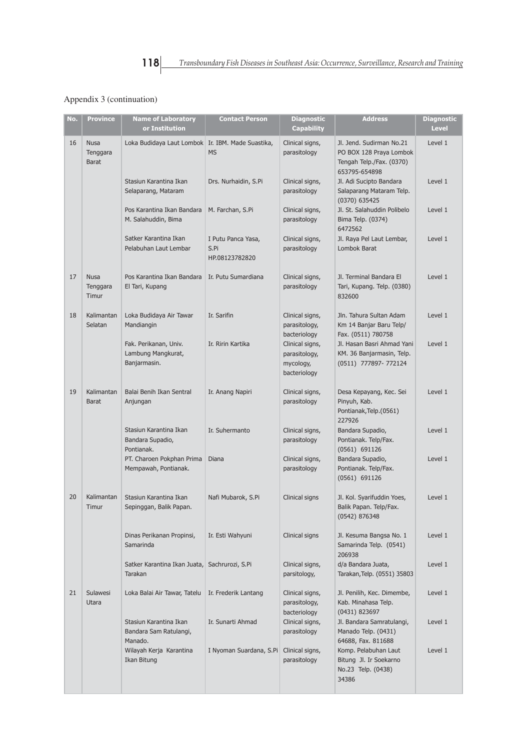| No. | <b>Province</b>                         | <b>Name of Laboratory</b><br>or Institution                 | <b>Contact Person</b>                        | <b>Diagnostic</b><br><b>Capability</b>                        | <b>Address</b>                                                                                   | <b>Diagnostic</b><br><b>Level</b> |
|-----|-----------------------------------------|-------------------------------------------------------------|----------------------------------------------|---------------------------------------------------------------|--------------------------------------------------------------------------------------------------|-----------------------------------|
| 16  | <b>Nusa</b><br>Tenggara<br><b>Barat</b> | Loka Budidaya Laut Lombok Ir. IBM. Made Suastika,           | <b>MS</b>                                    | Clinical signs,<br>parasitology                               | Jl. Jend. Sudirman No.21<br>PO BOX 128 Praya Lombok<br>Tengah Telp./Fax. (0370)<br>653795-654898 | Level 1                           |
|     |                                         | Stasiun Karantina Ikan<br>Selaparang, Mataram               | Drs. Nurhaidin, S.Pi                         | Clinical signs,<br>parasitology                               | Jl. Adi Sucipto Bandara<br>Salaparang Mataram Telp.<br>(0370) 635425                             | Level 1                           |
|     |                                         | Pos Karantina Ikan Bandara<br>M. Salahuddin, Bima           | M. Farchan, S.Pi                             | Clinical signs,<br>parasitology                               | Jl. St. Salahuddin Polibelo<br>Bima Telp. (0374)<br>6472562                                      | Level 1                           |
|     |                                         | Satker Karantina Ikan<br>Pelabuhan Laut Lembar              | I Putu Panca Yasa,<br>S.Pi<br>HP.08123782820 | Clinical signs,<br>parasitology                               | Jl. Raya Pel Laut Lembar,<br>Lombok Barat                                                        | Level 1                           |
| 17  | <b>Nusa</b><br>Tenggara<br>Timur        | Pos Karantina Ikan Bandara<br>El Tari, Kupang               | Ir. Putu Sumardiana                          | Clinical signs,<br>parasitology                               | Jl. Terminal Bandara El<br>Tari, Kupang. Telp. (0380)<br>832600                                  | Level 1                           |
| 18  | Kalimantan<br>Selatan                   | Loka Budidaya Air Tawar<br>Mandiangin                       | Ir. Sarifin                                  | Clinical signs,<br>parasitology,<br>bacteriology              | Jln. Tahura Sultan Adam<br>Km 14 Banjar Baru Telp/<br>Fax. (0511) 780758                         | Level 1                           |
|     |                                         | Fak. Perikanan, Univ.<br>Lambung Mangkurat,<br>Banjarmasin. | Ir. Ririn Kartika                            | Clinical signs,<br>parasitology,<br>mycology,<br>bacteriology | Jl. Hasan Basri Ahmad Yani<br>KM. 36 Banjarmasin, Telp.<br>(0511) 777897- 772124                 | Level 1                           |
| 19  | Kalimantan<br><b>Barat</b>              | Balai Benih Ikan Sentral<br>Anjungan                        | Ir. Anang Napiri                             | Clinical signs,<br>parasitology                               | Desa Kepayang, Kec. Sei<br>Pinyuh, Kab.<br>Pontianak, Telp. (0561)<br>227926                     | Level 1                           |
|     |                                         | Stasiun Karantina Ikan<br>Bandara Supadio,<br>Pontianak.    | Ir. Suhermanto                               | Clinical signs,<br>parasitology                               | Bandara Supadio,<br>Pontianak. Telp/Fax.<br>$(0561)$ 691126                                      | Level 1                           |
|     |                                         | PT. Charoen Pokphan Prima<br>Mempawah, Pontianak.           | Diana                                        | Clinical signs,<br>parasitology                               | Bandara Supadio,<br>Pontianak. Telp/Fax.<br>(0561) 691126                                        | Level 1                           |
| 20  | Kalimantan<br>Timur                     | Stasiun Karantina Ikan<br>Sepinggan, Balik Papan.           | Nafi Mubarok, S.Pi                           | Clinical signs                                                | Jl. Kol. Syarifuddin Yoes,<br>Balik Papan. Telp/Fax.<br>(0542) 876348                            | Level 1                           |
|     |                                         | Dinas Perikanan Propinsi,<br>Samarinda                      | Ir. Esti Wahyuni                             | Clinical signs                                                | Jl. Kesuma Bangsa No. 1<br>Samarinda Telp. (0541)<br>206938                                      | Level 1                           |
|     |                                         | Satker Karantina Ikan Juata,<br>Tarakan                     | Sachrurozi, S.Pi                             | Clinical signs,<br>parsitology,                               | d/a Bandara Juata,<br>Tarakan, Telp. (0551) 35803                                                | Level 1                           |
| 21  | <b>Sulawesi</b><br>Utara                | Loka Balai Air Tawar, Tatelu                                | Ir. Frederik Lantang                         | Clinical signs,<br>parasitology,<br>bacteriology              | Jl. Penilih, Kec. Dimembe,<br>Kab. Minahasa Telp.<br>(0431) 823697                               | Level 1                           |
|     |                                         | Stasiun Karantina Ikan<br>Bandara Sam Ratulangi,<br>Manado. | Ir. Sunarti Ahmad                            | Clinical signs,<br>parasitology                               | Jl. Bandara Samratulangi,<br>Manado Telp. (0431)<br>64688, Fax. 811688                           | Level 1                           |
|     |                                         | Wilayah Kerja Karantina<br>Ikan Bitung                      | I Nyoman Suardana, S.Pi                      | Clinical signs,<br>parasitology                               | Komp. Pelabuhan Laut<br>Bitung Jl. Ir Soekarno<br>No.23 Telp. (0438)<br>34386                    | Level 1                           |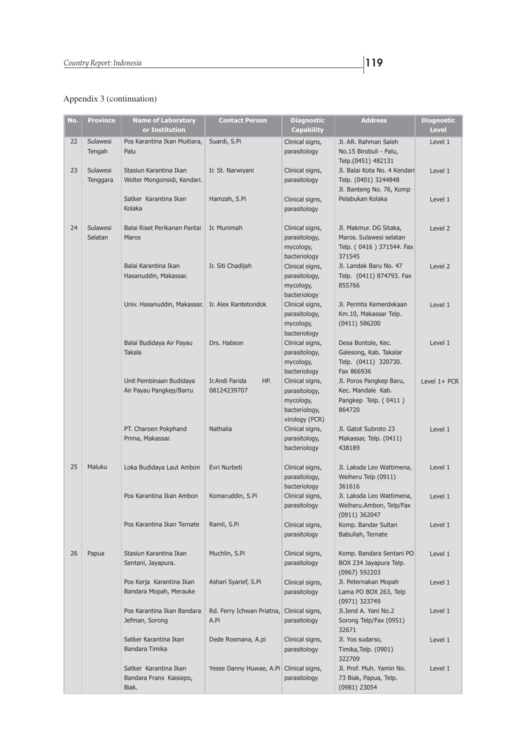| No. | <b>Province</b>             | <b>Name of Laboratory</b><br>or Institution               | <b>Contact Person</b>                | <b>Diagnostic</b><br><b>Capability</b>                                         | <b>Address</b>                                                                               | <b>Diagnostic</b><br><b>Level</b> |
|-----|-----------------------------|-----------------------------------------------------------|--------------------------------------|--------------------------------------------------------------------------------|----------------------------------------------------------------------------------------------|-----------------------------------|
| 22  | Sulawesi<br>Tengah          | Pos Karantina Ikan Muitiara,<br>Palu                      | Suardi, S.Pi                         | Clinical signs,<br>parasitology                                                | Jl. AR. Rahman Saleh<br>No.15 Birobuli - Palu,<br>Telp.(0451) 482131                         | Level 1                           |
| 23  | <b>Sulawesi</b><br>Tenggara | Stasiun Karantina Ikan<br>Wolter Mongonsidi, Kendari.     | Ir. St. Narwiyani                    | Clinical signs,<br>parasitology                                                | Jl. Balai Kota No. 4 Kendari<br>Telp. (0401) 3244848<br>Jl. Banteng No. 76, Komp             | Level 1                           |
|     |                             | Satker Karantina Ikan<br>Kolaka                           | Hamzah, S.Pi                         | Clinical signs,<br>parasitology                                                | Pelabukan Kolaka                                                                             | Level 1                           |
| 24  | Sulawesi<br>Selatan         | Balai Riset Perikanan Pantai<br><b>Maros</b>              | Ir. Munimah                          | Clinical signs,<br>parasitology,<br>mycology,<br>bacteriology                  | Jl. Makmur. DG Sitaka,<br>Maros. Sulawesi selatan<br>Telp. (0416) 371544. Fax<br>371545      | Level 2                           |
|     |                             | Balai Karantina Ikan<br>Hasanuddin, Makassar.             | Ir. Siti Chadijah                    | Clinical signs,<br>parasitology,<br>mycology,<br>bacteriology                  | Jl. Landak Baru No. 47<br>Telp. (0411) 874793. Fax<br>855766                                 | Level 2                           |
|     |                             | Univ. Hasanuddin, Makassar.                               | Ir. Alex Rantetondok                 | Clinical signs,<br>parasitology,<br>mycology,<br>bacteriology                  | Jl. Perintis Kemerdekaan<br>Km.10, Makassar Telp.<br>(0411) 586200                           | Level 1                           |
|     |                             | Balai Budidaya Air Payau<br><b>Takala</b>                 | Drs. Habson                          | Clinical signs,<br>parasitology,<br>mycology,                                  | Desa Bontole, Kec.<br>Galesong, Kab. Takalar<br>Telp. (0411) 320730.                         | Level 1                           |
|     |                             | Unit Pembinaan Budidaya<br>Air Payau Pangkep/Barru        | Ir.Andi Farida<br>HP.<br>08124239707 | bacteriology<br>Clinical signs,<br>parasitology,<br>mycology,<br>bacteriology, | Fax 866936<br>Jl. Poros Pangkep Baru,<br>Kec. Mandale Kab.<br>Pangkep Telp. (0411)<br>864720 | Level 1+ PCR                      |
|     |                             | PT. Charoen Pokphand<br>Prima, Makassar.                  | Nathalia                             | virology (PCR)<br>Clinical signs,<br>parasitology,<br>bacteriology             | Jl. Gatot Subroto 23<br>Makassar, Telp. (0411)<br>438189                                     | Level 1                           |
| 25  | Maluku                      | Loka Budidaya Laut Ambon                                  | Evri Nurbeti                         | Clinical signs,<br>parasitology,<br>bacteriology                               | Jl. Laksda Leo Wattimena,<br>Weiheru Telp (0911)<br>361616                                   | Level 1                           |
|     |                             | Pos Karantina Ikan Ambon                                  | Komaruddin, S.Pi                     | Clinical signs,<br>parasitology                                                | Jl. Laksda Leo Wattimena,<br>Weiheru.Ambon, Telp/Fax<br>(0911) 362047                        | Level 1                           |
|     |                             | Pos Karantina Ikan Ternate                                | Ramli, S.Pi                          | Clinical signs,<br>parasitology                                                | Komp. Bandar Sultan<br>Babullah, Ternate                                                     | Level 1                           |
| 26  | Papua                       | Stasiun Karantina Ikan<br>Sentani, Jayapura.              | Muchlin, S.Pi                        | Clinical signs,<br>parasitology                                                | Komp. Bandara Sentani PO<br>BOX 234 Jayapura Telp.<br>(0967) 592203                          | Level 1                           |
|     |                             | Pos Kerja Karantina Ikan<br>Bandara Mopah, Merauke        | Ashari Syarief, S.Pi                 | Clinical signs,<br>parasitology                                                | Jl. Peternakan Mopah<br>Lama PO BOX 263, Telp<br>(0971) 323749                               | Level 1                           |
|     |                             | Pos Karantina Ikan Bandara<br>Jefman, Sorong              | Rd. Ferry Ichwan Priatna,<br>A.Pi    | Clinical signs,<br>parasitology                                                | Jl.Jend A. Yani No.2<br>Sorong Telp/Fax (0951)<br>32671                                      | Level 1                           |
|     |                             | Satker Karantina Ikan<br>Bandara Timika                   | Dede Rosmana, A.pi                   | Clinical signs,<br>parasitology                                                | Jl. Yos sudarso,<br>Timika, Telp. (0901)<br>322709                                           | Level 1                           |
|     |                             | Satker Karantina Ikan<br>Bandara Frans Kaisiepo,<br>Biak. | Yesse Danny Huwae, A.Pi              | Clinical signs,<br>parasitology                                                | Jl. Prof. Muh. Yamin No.<br>73 Biak, Papua, Telp.<br>(0981) 23054                            | Level 1                           |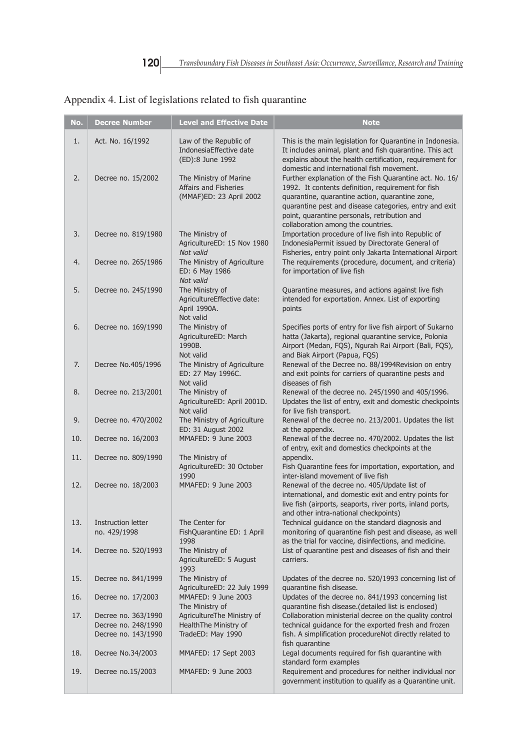г

| No. | <b>Decree Number</b>                                              | <b>Level and Effective Date</b>                                            | <b>Note</b>                                                                                                                                                                                                                                                                                                      |
|-----|-------------------------------------------------------------------|----------------------------------------------------------------------------|------------------------------------------------------------------------------------------------------------------------------------------------------------------------------------------------------------------------------------------------------------------------------------------------------------------|
| 1.  | Act. No. 16/1992                                                  | Law of the Republic of<br>IndonesiaEffective date<br>(ED):8 June 1992      | This is the main legislation for Quarantine in Indonesia.<br>It includes animal, plant and fish quarantine. This act<br>explains about the health certification, requirement for<br>domestic and international fish movement.                                                                                    |
| 2.  | Decree no. 15/2002                                                | The Ministry of Marine<br>Affairs and Fisheries<br>(MMAF)ED: 23 April 2002 | Further explanation of the Fish Quarantine act. No. 16/<br>1992. It contents definition, requirement for fish<br>quarantine, quarantine action, quarantine zone,<br>quarantine pest and disease categories, entry and exit<br>point, quarantine personals, retribution and<br>collaboration among the countries. |
| 3.  | Decree no. 819/1980                                               | The Ministry of<br>AgricultureED: 15 Nov 1980<br>Not valid                 | Importation procedure of live fish into Republic of<br>IndonesiaPermit issued by Directorate General of<br>Fisheries, entry point only Jakarta International Airport                                                                                                                                             |
| 4.  | Decree no. 265/1986                                               | The Ministry of Agriculture<br>ED: 6 May 1986<br>Not valid                 | The requirements (procedure, document, and criteria)<br>for importation of live fish                                                                                                                                                                                                                             |
| 5.  | Decree no. 245/1990                                               | The Ministry of<br>AgricultureEffective date:<br>April 1990A.<br>Not valid | Quarantine measures, and actions against live fish<br>intended for exportation. Annex. List of exporting<br>points                                                                                                                                                                                               |
| 6.  | Decree no. 169/1990                                               | The Ministry of<br>AgricultureED: March<br>1990B.<br>Not valid             | Specifies ports of entry for live fish airport of Sukarno<br>hatta (Jakarta), regional quarantine service, Polonia<br>Airport (Medan, FQS), Ngurah Rai Airport (Bali, FQS),<br>and Biak Airport (Papua, FQS)                                                                                                     |
| 7.  | Decree No.405/1996                                                | The Ministry of Agriculture<br>ED: 27 May 1996C.<br>Not valid              | Renewal of the Decree no. 88/1994 Revision on entry<br>and exit points for carriers of quarantine pests and<br>diseases of fish                                                                                                                                                                                  |
| 8.  | Decree no. 213/2001                                               | The Ministry of<br>AgricultureED: April 2001D.<br>Not valid                | Renewal of the decree no. 245/1990 and 405/1996.<br>Updates the list of entry, exit and domestic checkpoints<br>for live fish transport.                                                                                                                                                                         |
| 9.  | Decree no. 470/2002                                               | The Ministry of Agriculture<br>ED: 31 August 2002                          | Renewal of the decree no. 213/2001. Updates the list<br>at the appendix.                                                                                                                                                                                                                                         |
| 10. | Decree no. 16/2003                                                | MMAFED: 9 June 2003                                                        | Renewal of the decree no. 470/2002. Updates the list<br>of entry, exit and domestics checkpoints at the                                                                                                                                                                                                          |
| 11. | Decree no. 809/1990                                               | The Ministry of<br>AgricultureED: 30 October<br>1990                       | appendix.<br>Fish Quarantine fees for importation, exportation, and<br>inter-island movement of live fish                                                                                                                                                                                                        |
| 12. | Decree no. 18/2003                                                | MMAFED: 9 June 2003                                                        | Renewal of the decree no. 405/Update list of<br>international, and domestic exit and entry points for<br>live fish (airports, seaports, river ports, inland ports,<br>and other intra-national checkpoints)                                                                                                      |
| 13. | <b>Instruction letter</b><br>no. 429/1998                         | The Center for<br>FishQuarantine ED: 1 April<br>1998                       | Technical guidance on the standard diagnosis and<br>monitoring of quarantine fish pest and disease, as well<br>as the trial for vaccine, disinfections, and medicine.                                                                                                                                            |
| 14. | Decree no. 520/1993                                               | The Ministry of<br>AgricultureED: 5 August<br>1993                         | List of quarantine pest and diseases of fish and their<br>carriers.                                                                                                                                                                                                                                              |
| 15. | Decree no. 841/1999                                               | The Ministry of<br>AgricultureED: 22 July 1999                             | Updates of the decree no. 520/1993 concerning list of<br>quarantine fish disease.                                                                                                                                                                                                                                |
| 16. | Decree no. 17/2003                                                | MMAFED: 9 June 2003<br>The Ministry of                                     | Updates of the decree no. 841/1993 concerning list<br>quarantine fish disease.(detailed list is enclosed)                                                                                                                                                                                                        |
| 17. | Decree no. 363/1990<br>Decree no. 248/1990<br>Decree no. 143/1990 | AgricultureThe Ministry of<br>HealthThe Ministry of<br>TradeED: May 1990   | Collaboration ministerial decree on the quality control<br>technical guidance for the exported fresh and frozen<br>fish. A simplification procedureNot directly related to                                                                                                                                       |
| 18. | Decree No.34/2003                                                 | MMAFED: 17 Sept 2003                                                       | fish quarantine<br>Legal documents required for fish quarantine with                                                                                                                                                                                                                                             |
| 19. | Decree no.15/2003                                                 | MMAFED: 9 June 2003                                                        | standard form examples<br>Requirement and procedures for neither individual nor<br>government institution to qualify as a Quarantine unit.                                                                                                                                                                       |

# Appendix 4. List of legislations related to fish quarantine